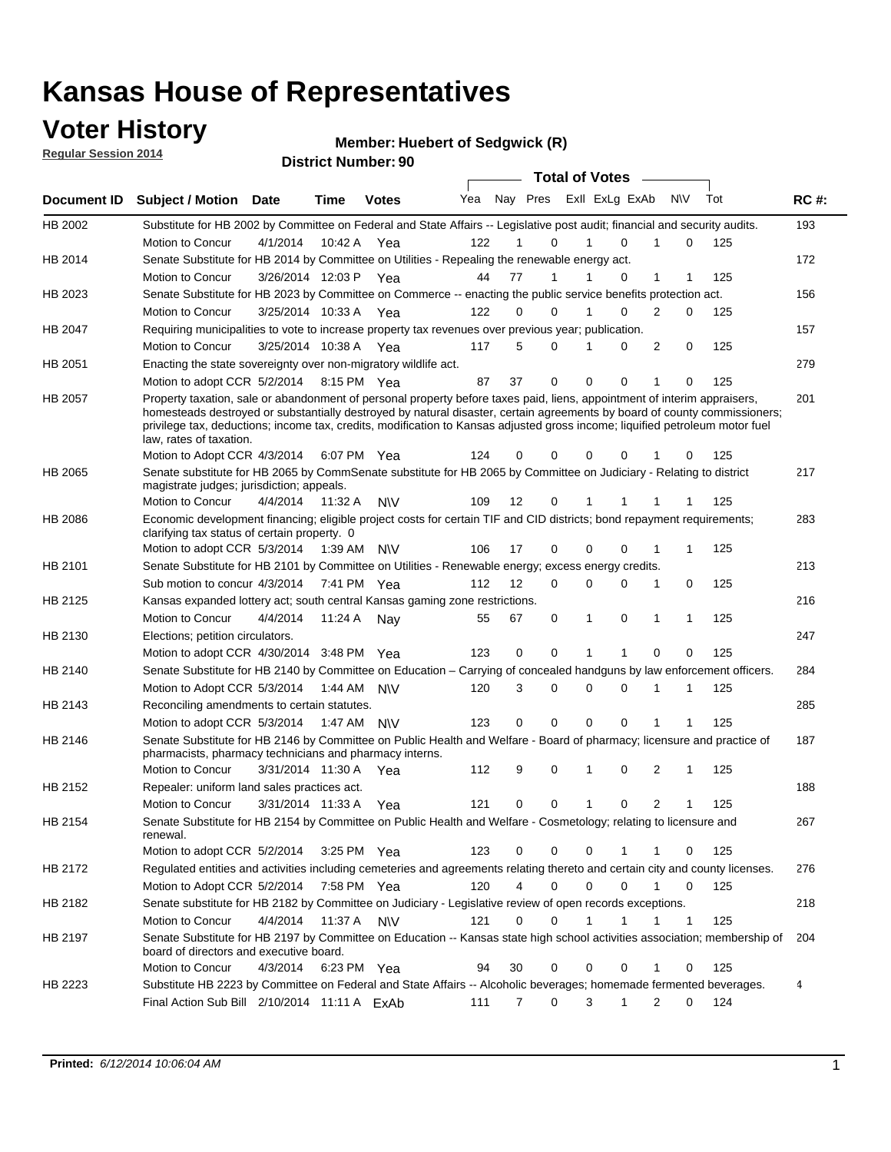## **Voter History**

**Regular Session 2014**

#### **Member: Huebert of Sedgwick (R)**

|             |                                                                                                                                                                                                                                                                                                                                                                                                                  |                       |             | <b>DISTRICT MAILINGL'SQ</b> |     |                   |               | <b>Total of Votes</b> |                |              |              |     |             |
|-------------|------------------------------------------------------------------------------------------------------------------------------------------------------------------------------------------------------------------------------------------------------------------------------------------------------------------------------------------------------------------------------------------------------------------|-----------------------|-------------|-----------------------------|-----|-------------------|---------------|-----------------------|----------------|--------------|--------------|-----|-------------|
| Document ID | <b>Subject / Motion</b>                                                                                                                                                                                                                                                                                                                                                                                          | Date                  | Time        | <b>Votes</b>                | Yea |                   | Nay Pres      |                       | Exll ExLg ExAb | N\V          |              | Tot | <b>RC#:</b> |
| HB 2002     | Substitute for HB 2002 by Committee on Federal and State Affairs -- Legislative post audit; financial and security audits.                                                                                                                                                                                                                                                                                       |                       |             |                             |     |                   |               |                       |                |              |              |     | 193         |
|             | Motion to Concur                                                                                                                                                                                                                                                                                                                                                                                                 | 4/1/2014              | 10:42 A     | Yea                         | 122 |                   | 0             |                       | $\Omega$       |              | 0            | 125 |             |
| HB 2014     | Senate Substitute for HB 2014 by Committee on Utilities - Repealing the renewable energy act.                                                                                                                                                                                                                                                                                                                    |                       |             |                             |     |                   |               |                       |                |              |              |     | 172         |
|             | Motion to Concur                                                                                                                                                                                                                                                                                                                                                                                                 | 3/26/2014 12:03 P Yea |             |                             | 44  | 77                | 1             |                       | 0              | 1            | 1            | 125 |             |
| HB 2023     | Senate Substitute for HB 2023 by Committee on Commerce -- enacting the public service benefits protection act.                                                                                                                                                                                                                                                                                                   |                       |             |                             |     |                   |               |                       |                |              |              |     | 156         |
|             | Motion to Concur                                                                                                                                                                                                                                                                                                                                                                                                 | 3/25/2014 10:33 A Yea |             |                             | 122 |                   | $\Omega$<br>0 | 1                     | $\Omega$       | 2            | 0            | 125 |             |
| HB 2047     | Requiring municipalities to vote to increase property tax revenues over previous year; publication.                                                                                                                                                                                                                                                                                                              |                       |             |                             |     |                   |               |                       |                |              |              |     | 157         |
|             | Motion to Concur                                                                                                                                                                                                                                                                                                                                                                                                 | 3/25/2014 10:38 A     |             |                             | 117 | 5                 | 0             |                       | 0              | 2            | 0            | 125 |             |
|             |                                                                                                                                                                                                                                                                                                                                                                                                                  |                       |             | Yea                         |     |                   |               |                       |                |              |              |     |             |
| HB 2051     | Enacting the state sovereignty over non-migratory wildlife act.                                                                                                                                                                                                                                                                                                                                                  |                       |             |                             |     |                   |               | 0                     |                | 1            |              |     | 279         |
|             | Motion to adopt CCR 5/2/2014                                                                                                                                                                                                                                                                                                                                                                                     |                       | 8:15 PM Yea |                             | 87  | 37                | 0             |                       | 0              |              | $\Omega$     | 125 |             |
| HB 2057     | Property taxation, sale or abandonment of personal property before taxes paid, liens, appointment of interim appraisers,<br>homesteads destroyed or substantially destroyed by natural disaster, certain agreements by board of county commissioners;<br>privilege tax, deductions; income tax, credits, modification to Kansas adjusted gross income; liquified petroleum motor fuel<br>law, rates of taxation. |                       |             |                             | 124 | 0                 | 0             | 0                     | $\Omega$       |              | 0            | 125 | 201         |
|             | Motion to Adopt CCR 4/3/2014                                                                                                                                                                                                                                                                                                                                                                                     |                       |             | 6:07 PM Yea                 |     |                   |               |                       |                |              |              |     |             |
| HB 2065     | Senate substitute for HB 2065 by CommSenate substitute for HB 2065 by Committee on Judiciary - Relating to district<br>magistrate judges; jurisdiction; appeals.                                                                                                                                                                                                                                                 |                       |             |                             |     |                   |               |                       |                |              |              |     | 217         |
|             | Motion to Concur                                                                                                                                                                                                                                                                                                                                                                                                 | 4/4/2014 11:32 A      |             | <b>NV</b>                   | 109 | $12 \overline{ }$ | 0             | 1                     | 1              | -1           | 1            | 125 |             |
| HB 2086     | Economic development financing; eligible project costs for certain TIF and CID districts; bond repayment requirements;<br>clarifying tax status of certain property. 0                                                                                                                                                                                                                                           |                       |             |                             |     |                   |               |                       |                |              |              |     | 283         |
|             | Motion to adopt CCR 5/3/2014 1:39 AM N\V                                                                                                                                                                                                                                                                                                                                                                         |                       |             |                             | 106 | 17                | 0             | 0                     | $\Omega$       | 1            | 1            | 125 |             |
| HB 2101     | Senate Substitute for HB 2101 by Committee on Utilities - Renewable energy; excess energy credits.                                                                                                                                                                                                                                                                                                               |                       |             |                             |     |                   |               |                       |                |              |              |     | 213         |
|             | Sub motion to concur 4/3/2014                                                                                                                                                                                                                                                                                                                                                                                    |                       |             | 7:41 PM Yea                 | 112 | 12                | 0             | 0                     | $\mathbf 0$    | 1            | 0            | 125 |             |
| HB 2125     | Kansas expanded lottery act; south central Kansas gaming zone restrictions.                                                                                                                                                                                                                                                                                                                                      |                       |             |                             |     |                   |               |                       |                |              |              |     | 216         |
|             | Motion to Concur                                                                                                                                                                                                                                                                                                                                                                                                 | 4/4/2014              | 11:24 A     | Nav                         | 55  | 67                | 0             | 1                     | 0              | $\mathbf{1}$ | $\mathbf{1}$ | 125 |             |
| HB 2130     | Elections; petition circulators.                                                                                                                                                                                                                                                                                                                                                                                 |                       |             |                             |     |                   |               |                       |                |              |              |     | 247         |
|             | Motion to adopt CCR 4/30/2014 3:48 PM Yea                                                                                                                                                                                                                                                                                                                                                                        |                       |             |                             | 123 | 0                 | 0             | 1                     | 1              | $\Omega$     | 0            | 125 |             |
| HB 2140     | Senate Substitute for HB 2140 by Committee on Education – Carrying of concealed handguns by law enforcement officers.                                                                                                                                                                                                                                                                                            |                       |             |                             |     |                   |               |                       |                |              |              |     | 284         |
|             | Motion to Adopt CCR 5/3/2014                                                                                                                                                                                                                                                                                                                                                                                     |                       | 1:44 AM     | <b>NV</b>                   | 120 | 3                 | 0             | 0                     | 0              | -1           | 1            | 125 |             |
| HB 2143     | Reconciling amendments to certain statutes.                                                                                                                                                                                                                                                                                                                                                                      |                       |             |                             |     |                   |               |                       |                |              |              |     | 285         |
|             | Motion to adopt CCR 5/3/2014                                                                                                                                                                                                                                                                                                                                                                                     |                       |             | 1:47 AM N\V                 | 123 | 0                 | 0             | 0                     | 0              | 1            | 1            | 125 |             |
| HB 2146     | Senate Substitute for HB 2146 by Committee on Public Health and Welfare - Board of pharmacy; licensure and practice of                                                                                                                                                                                                                                                                                           |                       |             |                             |     |                   |               |                       |                |              |              |     | 187         |
|             | pharmacists, pharmacy technicians and pharmacy interns.                                                                                                                                                                                                                                                                                                                                                          |                       |             |                             |     |                   |               |                       |                |              |              |     |             |
|             | Motion to Concur                                                                                                                                                                                                                                                                                                                                                                                                 | 3/31/2014 11:30 A     |             | Yea                         | 112 | 9                 | 0             | 1                     | 0              | 2            | 1            | 125 |             |
| HB 2152     | Repealer: uniform land sales practices act.                                                                                                                                                                                                                                                                                                                                                                      |                       |             |                             |     |                   |               |                       |                |              |              |     | 188         |
|             | <b>Motion to Concur</b>                                                                                                                                                                                                                                                                                                                                                                                          | 3/31/2014 11:33 A     |             | Yea                         | 121 |                   | 0<br>0        | 1                     | 0              | 2            | 1            | 125 |             |
| HB 2154     | Senate Substitute for HB 2154 by Committee on Public Health and Welfare - Cosmetology; relating to licensure and<br>renewal.                                                                                                                                                                                                                                                                                     |                       |             |                             |     |                   |               |                       |                |              |              |     | 267         |
|             | Motion to adopt CCR 5/2/2014 3:25 PM Yea                                                                                                                                                                                                                                                                                                                                                                         |                       |             |                             | 123 |                   | 0<br>0        | 0                     |                | 1            | 0            | 125 |             |
| HB 2172     | Regulated entities and activities including cemeteries and agreements relating thereto and certain city and county licenses.                                                                                                                                                                                                                                                                                     |                       |             |                             |     |                   |               |                       |                |              |              |     | 276         |
|             | Motion to Adopt CCR 5/2/2014                                                                                                                                                                                                                                                                                                                                                                                     |                       | 7:58 PM Yea |                             | 120 |                   | 4<br>0        | $\mathbf 0$           | $\mathbf 0$    | $\mathbf{1}$ | 0            | 125 |             |
| HB 2182     | Senate substitute for HB 2182 by Committee on Judiciary - Legislative review of open records exceptions.                                                                                                                                                                                                                                                                                                         |                       |             |                             |     |                   |               |                       |                |              |              |     | 218         |
|             | Motion to Concur                                                                                                                                                                                                                                                                                                                                                                                                 | 4/4/2014 11:37 A N\V  |             |                             | 121 | 0                 | 0             | 1                     | 1              | $\mathbf 1$  | $\mathbf 1$  | 125 |             |
| HB 2197     | Senate Substitute for HB 2197 by Committee on Education -- Kansas state high school activities association; membership of<br>board of directors and executive board.                                                                                                                                                                                                                                             |                       |             |                             |     |                   |               |                       |                |              |              |     | 204         |
|             | Motion to Concur                                                                                                                                                                                                                                                                                                                                                                                                 | 4/3/2014              |             | 6:23 PM Yea                 | 94  | 30                | 0             | 0                     | 0              |              | 0            | 125 |             |
| HB 2223     | Substitute HB 2223 by Committee on Federal and State Affairs -- Alcoholic beverages; homemade fermented beverages.                                                                                                                                                                                                                                                                                               |                       |             |                             |     |                   |               |                       |                |              |              |     | 4           |
|             | Final Action Sub Bill $2/10/2014$ 11:11 A $ExAb$                                                                                                                                                                                                                                                                                                                                                                 |                       |             |                             | 111 |                   | 0<br>7        | 3                     | 1              | 2            | 0            | 124 |             |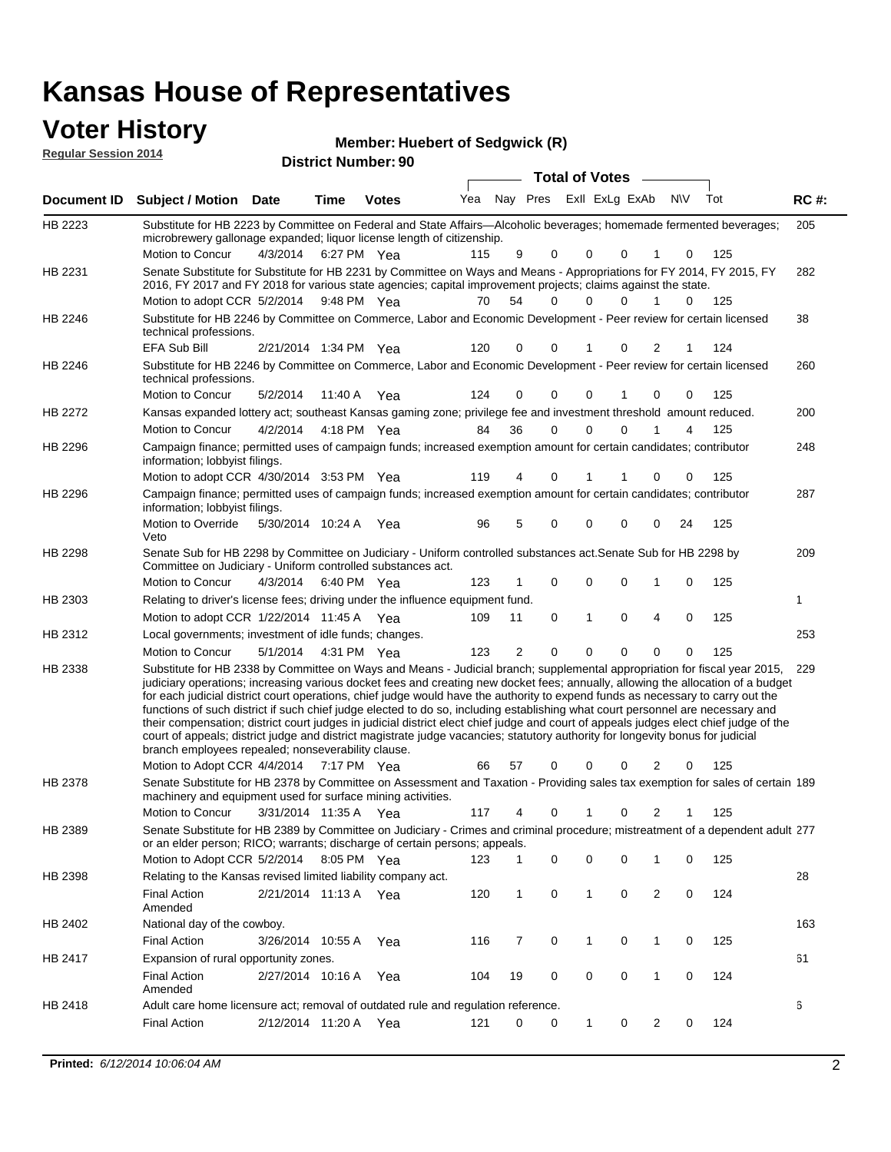#### **Voter History Regular Session**

| I IIVLVI J | <b>Member: Huebert of Sedgwick (R)</b> |
|------------|----------------------------------------|
| on 2014    | <b>District Number: 90</b>             |

|         |                                                                                                                                                                                                                                                                                                                                                                                                                                                                                                                                                                                                                                                                                                                                                                                                                                                                                                         |                       |             |              |     |    |          | <b>Total of Votes</b>       |             |                |          |     |             |
|---------|---------------------------------------------------------------------------------------------------------------------------------------------------------------------------------------------------------------------------------------------------------------------------------------------------------------------------------------------------------------------------------------------------------------------------------------------------------------------------------------------------------------------------------------------------------------------------------------------------------------------------------------------------------------------------------------------------------------------------------------------------------------------------------------------------------------------------------------------------------------------------------------------------------|-----------------------|-------------|--------------|-----|----|----------|-----------------------------|-------------|----------------|----------|-----|-------------|
|         | Document ID Subject / Motion Date                                                                                                                                                                                                                                                                                                                                                                                                                                                                                                                                                                                                                                                                                                                                                                                                                                                                       |                       | Time        | <b>Votes</b> | Yea |    |          | Nay Pres ExII ExLg ExAb N\V |             |                |          | Tot | <b>RC#:</b> |
| HB 2223 | Substitute for HB 2223 by Committee on Federal and State Affairs—Alcoholic beverages; homemade fermented beverages;<br>microbrewery gallonage expanded; liquor license length of citizenship.                                                                                                                                                                                                                                                                                                                                                                                                                                                                                                                                                                                                                                                                                                           |                       |             |              |     |    |          |                             |             |                |          |     | 205         |
|         | Motion to Concur                                                                                                                                                                                                                                                                                                                                                                                                                                                                                                                                                                                                                                                                                                                                                                                                                                                                                        | 4/3/2014              | 6:27 PM Yea |              | 115 | 9  | 0        | $\Omega$                    | 0           | 1              | 0        | 125 |             |
| HB 2231 | Senate Substitute for Substitute for HB 2231 by Committee on Ways and Means - Appropriations for FY 2014, FY 2015, FY<br>2016, FY 2017 and FY 2018 for various state agencies; capital improvement projects; claims against the state.                                                                                                                                                                                                                                                                                                                                                                                                                                                                                                                                                                                                                                                                  |                       |             |              |     |    |          |                             |             |                |          |     | 282         |
|         | Motion to adopt CCR 5/2/2014 9:48 PM Yea                                                                                                                                                                                                                                                                                                                                                                                                                                                                                                                                                                                                                                                                                                                                                                                                                                                                |                       |             |              | 70  | 54 | 0        | 0                           | $\Omega$    |                | $\Omega$ | 125 |             |
| HB 2246 | Substitute for HB 2246 by Committee on Commerce, Labor and Economic Development - Peer review for certain licensed<br>technical professions.                                                                                                                                                                                                                                                                                                                                                                                                                                                                                                                                                                                                                                                                                                                                                            |                       |             |              |     |    |          |                             |             |                |          |     | 38          |
|         | EFA Sub Bill                                                                                                                                                                                                                                                                                                                                                                                                                                                                                                                                                                                                                                                                                                                                                                                                                                                                                            | 2/21/2014 1:34 PM Yea |             |              | 120 | 0  | 0        |                             | 0           | 2              |          | 124 |             |
| HB 2246 | Substitute for HB 2246 by Committee on Commerce, Labor and Economic Development - Peer review for certain licensed<br>technical professions.                                                                                                                                                                                                                                                                                                                                                                                                                                                                                                                                                                                                                                                                                                                                                            |                       |             |              |     |    |          |                             |             |                |          |     | 260         |
|         | Motion to Concur                                                                                                                                                                                                                                                                                                                                                                                                                                                                                                                                                                                                                                                                                                                                                                                                                                                                                        | 5/2/2014              | 11:40 A     | Yea          | 124 | 0  | 0        | 0                           | 1           | 0              | 0        | 125 |             |
| HB 2272 | Kansas expanded lottery act; southeast Kansas gaming zone; privilege fee and investment threshold amount reduced.                                                                                                                                                                                                                                                                                                                                                                                                                                                                                                                                                                                                                                                                                                                                                                                       |                       |             |              |     |    |          |                             |             |                |          |     | 200         |
|         | Motion to Concur                                                                                                                                                                                                                                                                                                                                                                                                                                                                                                                                                                                                                                                                                                                                                                                                                                                                                        | 4/2/2014              |             | 4:18 PM Yea  | 84  | 36 | $\Omega$ | 0                           | $\Omega$    | 1              | 4        | 125 |             |
| HB 2296 | Campaign finance; permitted uses of campaign funds; increased exemption amount for certain candidates; contributor<br>information; lobbyist filings.                                                                                                                                                                                                                                                                                                                                                                                                                                                                                                                                                                                                                                                                                                                                                    |                       |             |              |     |    |          |                             |             |                |          |     | 248         |
|         | Motion to adopt CCR 4/30/2014 3:53 PM Yea                                                                                                                                                                                                                                                                                                                                                                                                                                                                                                                                                                                                                                                                                                                                                                                                                                                               |                       |             |              | 119 |    | 0        |                             |             | 0              | 0        | 125 |             |
| HB 2296 | Campaign finance; permitted uses of campaign funds; increased exemption amount for certain candidates; contributor<br>information; lobbyist filings.                                                                                                                                                                                                                                                                                                                                                                                                                                                                                                                                                                                                                                                                                                                                                    |                       |             |              |     |    |          |                             |             |                |          |     | 287         |
|         | Motion to Override<br>Veto                                                                                                                                                                                                                                                                                                                                                                                                                                                                                                                                                                                                                                                                                                                                                                                                                                                                              | 5/30/2014 10:24 A     |             | Yea          | 96  | 5  | 0        | 0                           | $\mathbf 0$ | 0              | 24       | 125 |             |
| HB 2298 | Senate Sub for HB 2298 by Committee on Judiciary - Uniform controlled substances act. Senate Sub for HB 2298 by<br>Committee on Judiciary - Uniform controlled substances act.                                                                                                                                                                                                                                                                                                                                                                                                                                                                                                                                                                                                                                                                                                                          |                       |             |              |     |    |          |                             |             |                |          |     | 209         |
|         | Motion to Concur                                                                                                                                                                                                                                                                                                                                                                                                                                                                                                                                                                                                                                                                                                                                                                                                                                                                                        | 4/3/2014              |             | 6:40 PM Yea  | 123 | 1  | 0        | 0                           | $\mathbf 0$ | 1              | 0        | 125 |             |
| HB 2303 | Relating to driver's license fees; driving under the influence equipment fund.                                                                                                                                                                                                                                                                                                                                                                                                                                                                                                                                                                                                                                                                                                                                                                                                                          |                       |             |              |     |    |          |                             |             |                |          |     | 1           |
|         | Motion to adopt CCR 1/22/2014 11:45 A Yea                                                                                                                                                                                                                                                                                                                                                                                                                                                                                                                                                                                                                                                                                                                                                                                                                                                               |                       |             |              | 109 | 11 | 0        | $\mathbf{1}$                | $\mathbf 0$ | 4              | 0        | 125 |             |
| HB 2312 | Local governments; investment of idle funds; changes.                                                                                                                                                                                                                                                                                                                                                                                                                                                                                                                                                                                                                                                                                                                                                                                                                                                   |                       |             |              |     |    |          |                             |             |                |          |     | 253         |
|         | Motion to Concur                                                                                                                                                                                                                                                                                                                                                                                                                                                                                                                                                                                                                                                                                                                                                                                                                                                                                        | 5/1/2014              |             | 4:31 PM Yea  | 123 | 2  | 0        | 0                           | $\mathbf 0$ | 0              | 0        | 125 |             |
| HB 2338 | Substitute for HB 2338 by Committee on Ways and Means - Judicial branch; supplemental appropriation for fiscal year 2015, 229<br>judiciary operations; increasing various docket fees and creating new docket fees; annually, allowing the allocation of a budget<br>for each judicial district court operations, chief judge would have the authority to expend funds as necessary to carry out the<br>functions of such district if such chief judge elected to do so, including establishing what court personnel are necessary and<br>their compensation; district court judges in judicial district elect chief judge and court of appeals judges elect chief judge of the<br>court of appeals; district judge and district magistrate judge vacancies; statutory authority for longevity bonus for judicial<br>branch employees repealed; nonseverability clause.<br>Motion to Adopt CCR 4/4/2014 |                       | 7:17 PM Yea |              | 66  | 57 | 0        | 0                           | 0           | 2              | 0        | 125 |             |
| HB 2378 | Senate Substitute for HB 2378 by Committee on Assessment and Taxation - Providing sales tax exemption for sales of certain 189                                                                                                                                                                                                                                                                                                                                                                                                                                                                                                                                                                                                                                                                                                                                                                          |                       |             |              |     |    |          |                             |             |                |          |     |             |
|         | machinery and equipment used for surface mining activities.                                                                                                                                                                                                                                                                                                                                                                                                                                                                                                                                                                                                                                                                                                                                                                                                                                             |                       |             |              |     |    |          |                             |             |                |          |     |             |
|         | Motion to Concur                                                                                                                                                                                                                                                                                                                                                                                                                                                                                                                                                                                                                                                                                                                                                                                                                                                                                        | 3/31/2014 11:35 A Yea |             |              | 117 | 4  | 0        | 1                           | 0           | 2              | 1        | 125 |             |
| HB 2389 | Senate Substitute for HB 2389 by Committee on Judiciary - Crimes and criminal procedure; mistreatment of a dependent adult 277                                                                                                                                                                                                                                                                                                                                                                                                                                                                                                                                                                                                                                                                                                                                                                          |                       |             |              |     |    |          |                             |             |                |          |     |             |
|         | or an elder person; RICO; warrants; discharge of certain persons; appeals.                                                                                                                                                                                                                                                                                                                                                                                                                                                                                                                                                                                                                                                                                                                                                                                                                              |                       |             |              |     |    |          |                             |             |                |          |     |             |
|         | Motion to Adopt CCR 5/2/2014                                                                                                                                                                                                                                                                                                                                                                                                                                                                                                                                                                                                                                                                                                                                                                                                                                                                            |                       |             | 8:05 PM Yea  | 123 | 1  | 0        | 0                           | 0           | 1              | 0        | 125 |             |
| HB 2398 | Relating to the Kansas revised limited liability company act.                                                                                                                                                                                                                                                                                                                                                                                                                                                                                                                                                                                                                                                                                                                                                                                                                                           |                       |             |              |     |    |          |                             |             |                |          |     | 28          |
|         | <b>Final Action</b><br>Amended                                                                                                                                                                                                                                                                                                                                                                                                                                                                                                                                                                                                                                                                                                                                                                                                                                                                          | 2/21/2014 11:13 A Yea |             |              | 120 | 1  | 0        | $\mathbf{1}$                | 0           | $\overline{2}$ | 0        | 124 |             |
| HB 2402 | National day of the cowboy.                                                                                                                                                                                                                                                                                                                                                                                                                                                                                                                                                                                                                                                                                                                                                                                                                                                                             |                       |             |              |     |    |          |                             |             |                |          |     | 163         |
|         | <b>Final Action</b>                                                                                                                                                                                                                                                                                                                                                                                                                                                                                                                                                                                                                                                                                                                                                                                                                                                                                     | 3/26/2014 10:55 A     |             | Yea          | 116 | 7  | 0        | 1                           | 0           | 1              | 0        | 125 |             |
| HB 2417 | Expansion of rural opportunity zones.                                                                                                                                                                                                                                                                                                                                                                                                                                                                                                                                                                                                                                                                                                                                                                                                                                                                   |                       |             |              |     |    |          |                             |             |                |          |     | 61          |
|         | <b>Final Action</b><br>Amended                                                                                                                                                                                                                                                                                                                                                                                                                                                                                                                                                                                                                                                                                                                                                                                                                                                                          | 2/27/2014 10:16 A     |             | Yea          | 104 | 19 | 0        | 0                           | 0           | $\mathbf 1$    | 0        | 124 |             |
| HB 2418 | Adult care home licensure act; removal of outdated rule and regulation reference.                                                                                                                                                                                                                                                                                                                                                                                                                                                                                                                                                                                                                                                                                                                                                                                                                       |                       |             |              |     |    |          |                             |             |                |          |     | 6           |
|         | <b>Final Action</b>                                                                                                                                                                                                                                                                                                                                                                                                                                                                                                                                                                                                                                                                                                                                                                                                                                                                                     | 2/12/2014 11:20 A Yea |             |              | 121 | 0  | 0        | $\mathbf{1}$                | 0           | $\overline{2}$ | 0        | 124 |             |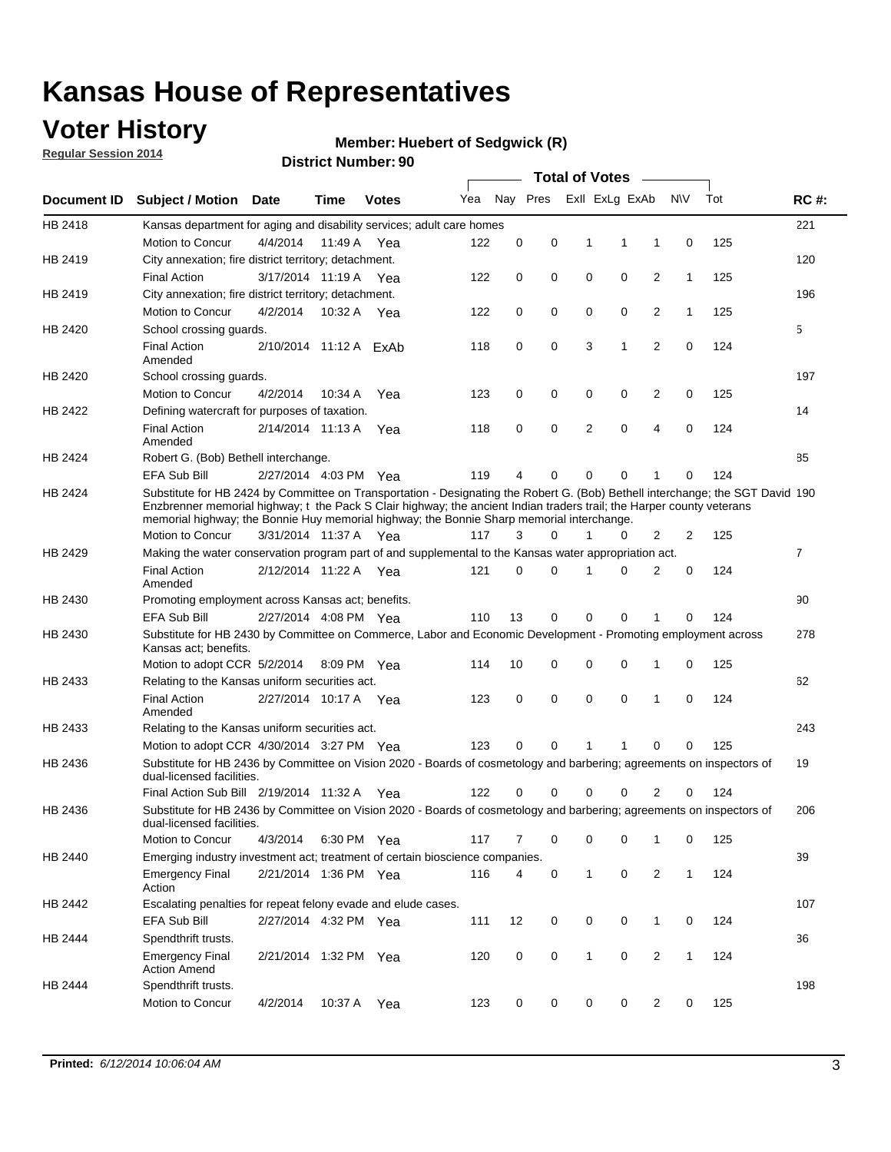## **Voter History**

**Regular Session 2014**

#### **Member: Huebert of Sedgwick (R)**

|             |                                                                                                                                                                                                                                                                                                                                                      |          |                        |              |     |          |   | <b>Total of Votes</b> |             |                |              |     |             |
|-------------|------------------------------------------------------------------------------------------------------------------------------------------------------------------------------------------------------------------------------------------------------------------------------------------------------------------------------------------------------|----------|------------------------|--------------|-----|----------|---|-----------------------|-------------|----------------|--------------|-----|-------------|
| Document ID | <b>Subject / Motion Date</b>                                                                                                                                                                                                                                                                                                                         |          | Time                   | <b>Votes</b> | Yea | Nav Pres |   | Exll ExLg ExAb        |             |                | <b>NV</b>    | Tot | <b>RC#:</b> |
| HB 2418     | Kansas department for aging and disability services; adult care homes                                                                                                                                                                                                                                                                                |          |                        |              |     |          |   |                       |             |                |              |     | 221         |
|             | Motion to Concur                                                                                                                                                                                                                                                                                                                                     | 4/4/2014 | 11:49 A                | Yea          | 122 | 0        | 0 | 1                     | 1           | 1              | 0            | 125 |             |
| HB 2419     | City annexation; fire district territory; detachment.                                                                                                                                                                                                                                                                                                |          |                        |              |     |          |   |                       |             |                |              |     | 120         |
|             | <b>Final Action</b>                                                                                                                                                                                                                                                                                                                                  |          | 3/17/2014 11:19 A      | Yea          | 122 | 0        | 0 | 0                     | 0           | 2              | $\mathbf{1}$ | 125 |             |
| HB 2419     | City annexation; fire district territory; detachment.                                                                                                                                                                                                                                                                                                |          |                        |              |     |          |   |                       |             |                |              |     | 196         |
|             | Motion to Concur                                                                                                                                                                                                                                                                                                                                     | 4/2/2014 | 10:32 A                | Yea          | 122 | 0        | 0 | 0                     | 0           | 2              | $\mathbf{1}$ | 125 |             |
| HB 2420     | School crossing guards.                                                                                                                                                                                                                                                                                                                              |          |                        |              |     |          |   |                       |             |                |              |     | 5           |
|             | <b>Final Action</b><br>Amended                                                                                                                                                                                                                                                                                                                       |          | 2/10/2014 11:12 A ExAb |              | 118 | 0        | 0 | 3                     | 1           | 2              | 0            | 124 |             |
| HB 2420     | School crossing guards.                                                                                                                                                                                                                                                                                                                              |          |                        |              |     |          |   |                       |             |                |              |     | 197         |
|             | Motion to Concur                                                                                                                                                                                                                                                                                                                                     | 4/2/2014 | 10:34 A                | Yea          | 123 | 0        | 0 | 0                     | 0           | 2              | 0            | 125 |             |
| HB 2422     | Defining watercraft for purposes of taxation.                                                                                                                                                                                                                                                                                                        |          |                        |              |     |          |   |                       |             |                |              |     | 14          |
|             | <b>Final Action</b><br>Amended                                                                                                                                                                                                                                                                                                                       |          | 2/14/2014 11:13 A      | Yea          | 118 | 0        | 0 | 2                     | $\mathbf 0$ | 4              | 0            | 124 |             |
| HB 2424     | Robert G. (Bob) Bethell interchange.                                                                                                                                                                                                                                                                                                                 |          |                        |              |     |          |   |                       |             |                |              |     | 85          |
|             | EFA Sub Bill                                                                                                                                                                                                                                                                                                                                         |          | 2/27/2014 4:03 PM Yea  |              | 119 | 4        | 0 | 0                     | 0           | 1              | 0            | 124 |             |
| HB 2424     | Substitute for HB 2424 by Committee on Transportation - Designating the Robert G. (Bob) Bethell interchange; the SGT David 190<br>Enzbrenner memorial highway; t the Pack S Clair highway; the ancient Indian traders trail; the Harper county veterans<br>memorial highway; the Bonnie Huy memorial highway; the Bonnie Sharp memorial interchange. |          |                        |              |     |          |   |                       |             |                |              |     |             |
|             | <b>Motion to Concur</b>                                                                                                                                                                                                                                                                                                                              |          | 3/31/2014 11:37 A Yea  |              | 117 | 3        | 0 | 1                     | 0           | 2              | 2            | 125 |             |
| HB 2429     | Making the water conservation program part of and supplemental to the Kansas water appropriation act.                                                                                                                                                                                                                                                |          |                        |              |     |          |   |                       |             |                |              |     | 7           |
|             | <b>Final Action</b><br>Amended                                                                                                                                                                                                                                                                                                                       |          | 2/12/2014 11:22 A Yea  |              | 121 | $\Omega$ | 0 | 1                     | $\Omega$    | 2              | 0            | 124 |             |
| HB 2430     | Promoting employment across Kansas act; benefits.                                                                                                                                                                                                                                                                                                    |          |                        |              |     |          |   |                       |             |                |              |     | 90          |
|             | EFA Sub Bill                                                                                                                                                                                                                                                                                                                                         |          | 2/27/2014 4:08 PM Yea  |              | 110 | 13       | 0 | 0                     | $\Omega$    | 1              | $\Omega$     | 124 |             |
| HB 2430     | Substitute for HB 2430 by Committee on Commerce, Labor and Economic Development - Promoting employment across<br>Kansas act; benefits.                                                                                                                                                                                                               |          |                        |              |     |          |   |                       |             |                |              |     | 278         |
|             | Motion to adopt CCR 5/2/2014                                                                                                                                                                                                                                                                                                                         |          |                        | 8:09 PM Yea  | 114 | 10       | 0 | 0                     | 0           | 1              | 0            | 125 |             |
| HB 2433     | Relating to the Kansas uniform securities act.                                                                                                                                                                                                                                                                                                       |          |                        |              |     |          |   |                       |             |                |              |     | 62          |
|             | <b>Final Action</b><br>Amended                                                                                                                                                                                                                                                                                                                       |          | 2/27/2014 10:17 A Yea  |              | 123 | 0        | 0 | 0                     | $\mathbf 0$ | 1              | 0            | 124 |             |
| HB 2433     | Relating to the Kansas uniform securities act.                                                                                                                                                                                                                                                                                                       |          |                        |              |     |          |   |                       |             |                |              |     | 243         |
|             | Motion to adopt CCR 4/30/2014 3:27 PM Yea                                                                                                                                                                                                                                                                                                            |          |                        |              | 123 | 0        | 0 |                       | 1           | 0              | 0            | 125 |             |
| HB 2436     | Substitute for HB 2436 by Committee on Vision 2020 - Boards of cosmetology and barbering; agreements on inspectors of<br>dual-licensed facilities.                                                                                                                                                                                                   |          |                        |              |     |          |   |                       |             |                |              |     | 19          |
|             | Final Action Sub Bill 2/19/2014 11:32 A                                                                                                                                                                                                                                                                                                              |          |                        | Yea          | 122 | 0        | 0 | 0                     | 0           | 2              | $\Omega$     | 124 |             |
| HB 2436     | Substitute for HB 2436 by Committee on Vision 2020 - Boards of cosmetology and barbering; agreements on inspectors of<br>dual-licensed facilities.                                                                                                                                                                                                   |          |                        |              |     |          |   |                       |             |                |              |     | 206         |
|             | Motion to Concur                                                                                                                                                                                                                                                                                                                                     | 4/3/2014 |                        | 6:30 PM Yea  | 117 | 7        | 0 | 0                     | 0           | 1              | 0            | 125 |             |
| HB 2440     | Emerging industry investment act; treatment of certain bioscience companies.                                                                                                                                                                                                                                                                         |          |                        |              |     |          |   |                       |             |                |              |     | 39          |
|             | <b>Emergency Final</b><br>Action                                                                                                                                                                                                                                                                                                                     |          | 2/21/2014 1:36 PM Yea  |              | 116 | 4        | 0 | $\mathbf{1}$          | 0           | $\overline{c}$ | $\mathbf{1}$ | 124 |             |
| HB 2442     | Escalating penalties for repeat felony evade and elude cases.                                                                                                                                                                                                                                                                                        |          |                        |              |     |          |   |                       |             |                |              |     | 107         |
|             | EFA Sub Bill                                                                                                                                                                                                                                                                                                                                         |          | 2/27/2014 4:32 PM Yea  |              | 111 | 12       | 0 | 0                     | 0           | $\mathbf{1}$   | 0            | 124 |             |
| HB 2444     | Spendthrift trusts.                                                                                                                                                                                                                                                                                                                                  |          |                        |              |     |          |   |                       |             |                |              |     | 36          |
|             | <b>Emergency Final</b><br><b>Action Amend</b>                                                                                                                                                                                                                                                                                                        |          | 2/21/2014 1:32 PM Yea  |              | 120 | 0        | 0 | $\mathbf{1}$          | 0           | 2              | $\mathbf{1}$ | 124 |             |
| HB 2444     | Spendthrift trusts.<br>Motion to Concur                                                                                                                                                                                                                                                                                                              | 4/2/2014 | 10:37 A                | Yea          | 123 | 0        | 0 | 0                     | 0           | 2              | 0            | 125 | 198         |
|             |                                                                                                                                                                                                                                                                                                                                                      |          |                        |              |     |          |   |                       |             |                |              |     |             |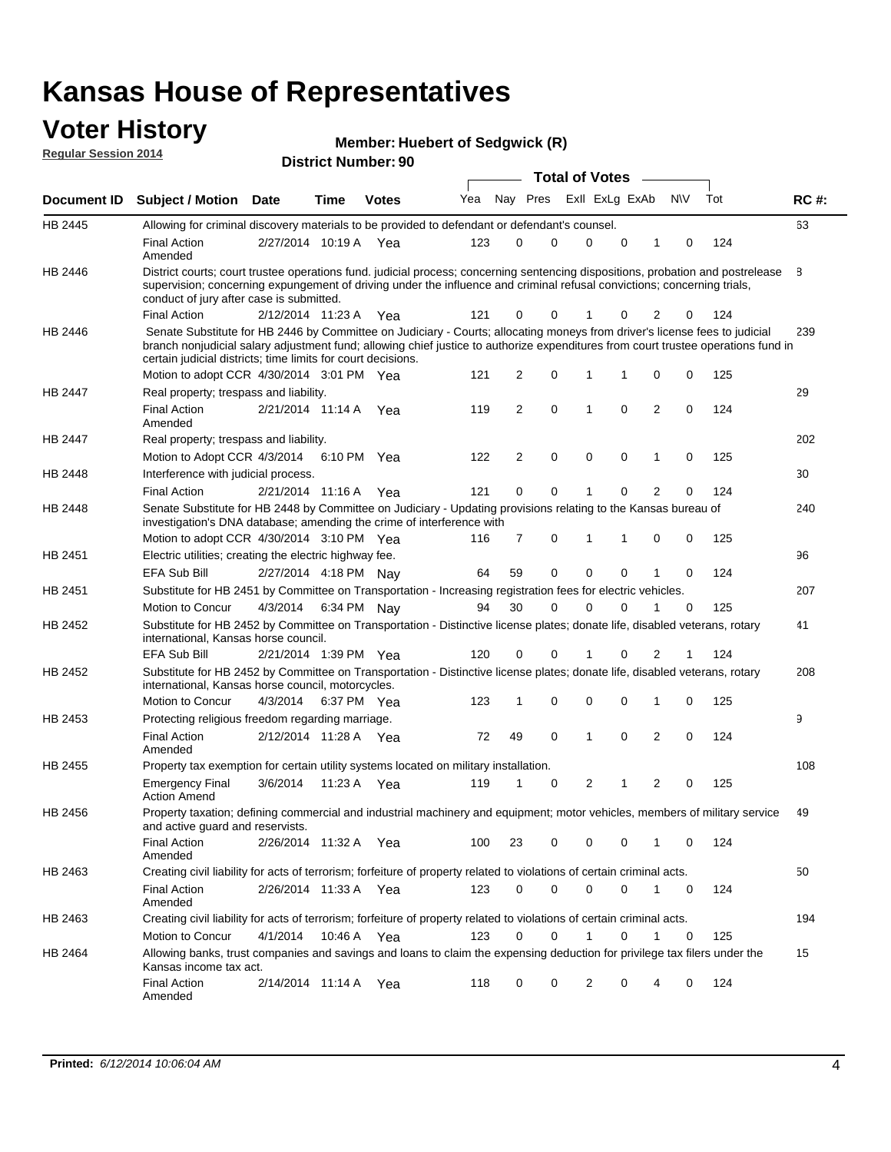### **Voter History Regular Session 2014**

|                    |                                                                                                                                                                                                                                                                                                                                 |                       |             |              |     |          |   | <b>Total of Votes</b> |             |              |             |     |             |
|--------------------|---------------------------------------------------------------------------------------------------------------------------------------------------------------------------------------------------------------------------------------------------------------------------------------------------------------------------------|-----------------------|-------------|--------------|-----|----------|---|-----------------------|-------------|--------------|-------------|-----|-------------|
| <b>Document ID</b> | <b>Subject / Motion</b>                                                                                                                                                                                                                                                                                                         | Date                  | Time        | <b>Votes</b> | Yea | Nay Pres |   | Exll ExLg ExAb        |             |              | <b>NV</b>   | Tot | <b>RC#:</b> |
| HB 2445            | Allowing for criminal discovery materials to be provided to defendant or defendant's counsel.                                                                                                                                                                                                                                   |                       |             |              |     |          |   |                       |             |              |             |     | 63          |
|                    | <b>Final Action</b><br>Amended                                                                                                                                                                                                                                                                                                  | 2/27/2014 10:19 A     |             | Yea          | 123 | 0        | 0 | 0                     | $\Omega$    | 1            | $\mathbf 0$ | 124 |             |
| HB 2446            | District courts; court trustee operations fund. judicial process; concerning sentencing dispositions, probation and postrelease<br>supervision; concerning expungement of driving under the influence and criminal refusal convictions; concerning trials,<br>conduct of jury after case is submitted.                          |                       |             |              |     |          |   |                       |             |              |             |     | 8           |
|                    | <b>Final Action</b>                                                                                                                                                                                                                                                                                                             | 2/12/2014 11:23 A     |             | Yea          | 121 | 0        | 0 | 1                     | 0           | 2            | 0           | 124 |             |
| HB 2446            | Senate Substitute for HB 2446 by Committee on Judiciary - Courts; allocating moneys from driver's license fees to judicial<br>branch nonjudicial salary adjustment fund; allowing chief justice to authorize expenditures from court trustee operations fund in<br>certain judicial districts; time limits for court decisions. |                       |             |              |     |          |   |                       |             |              |             |     | 239         |
|                    | Motion to adopt CCR 4/30/2014 3:01 PM Yea                                                                                                                                                                                                                                                                                       |                       |             |              | 121 | 2        | 0 | 1                     | 1           | 0            | 0           | 125 |             |
| <b>HB 2447</b>     | Real property; trespass and liability.                                                                                                                                                                                                                                                                                          |                       |             |              |     |          |   |                       |             |              |             |     | 29          |
|                    | <b>Final Action</b><br>Amended                                                                                                                                                                                                                                                                                                  | 2/21/2014 11:14 A     |             | Yea          | 119 | 2        | 0 | 1                     | 0           | 2            | 0           | 124 |             |
| HB 2447            | Real property; trespass and liability.                                                                                                                                                                                                                                                                                          |                       |             |              |     |          |   |                       |             |              |             |     | 202         |
|                    | Motion to Adopt CCR 4/3/2014                                                                                                                                                                                                                                                                                                    |                       |             | 6:10 PM Yea  | 122 | 2        | 0 | $\mathbf 0$           | $\mathbf 0$ | 1            | $\mathbf 0$ | 125 |             |
| HB 2448            | Interference with judicial process.                                                                                                                                                                                                                                                                                             |                       |             |              |     |          |   |                       |             |              |             |     | 30          |
|                    | <b>Final Action</b>                                                                                                                                                                                                                                                                                                             | 2/21/2014 11:16 A     |             | Yea          | 121 | 0        | 0 | 1                     | 0           | 2            | 0           | 124 |             |
| HB 2448            | Senate Substitute for HB 2448 by Committee on Judiciary - Updating provisions relating to the Kansas bureau of<br>investigation's DNA database; amending the crime of interference with                                                                                                                                         |                       |             |              |     |          |   |                       |             |              |             |     | 240         |
|                    | Motion to adopt CCR 4/30/2014 3:10 PM Yea                                                                                                                                                                                                                                                                                       |                       |             |              | 116 | 7        | 0 | 1                     | 1           | 0            | 0           | 125 |             |
| HB 2451            | Electric utilities; creating the electric highway fee.                                                                                                                                                                                                                                                                          |                       |             |              |     |          |   |                       |             |              |             |     | 96          |
|                    | <b>EFA Sub Bill</b>                                                                                                                                                                                                                                                                                                             | 2/27/2014 4:18 PM Nay |             |              | 64  | 59       | 0 | 0                     | 0           |              | 0           | 124 |             |
| HB 2451            | Substitute for HB 2451 by Committee on Transportation - Increasing registration fees for electric vehicles.                                                                                                                                                                                                                     |                       |             |              |     |          |   |                       |             |              |             |     | 207         |
|                    | Motion to Concur                                                                                                                                                                                                                                                                                                                | 4/3/2014              |             | 6:34 PM Nay  | 94  | 30       | 0 | 0                     | 0           |              | 0           | 125 |             |
| HB 2452            | Substitute for HB 2452 by Committee on Transportation - Distinctive license plates; donate life, disabled veterans, rotary<br>international, Kansas horse council.                                                                                                                                                              |                       |             |              |     |          |   |                       |             |              |             |     | 41          |
|                    | <b>EFA Sub Bill</b>                                                                                                                                                                                                                                                                                                             | 2/21/2014 1:39 PM Yea |             |              | 120 | 0        | 0 | 1                     | 0           | 2            | 1           | 124 |             |
| HB 2452            | Substitute for HB 2452 by Committee on Transportation - Distinctive license plates; donate life, disabled veterans, rotary<br>international, Kansas horse council, motorcycles.                                                                                                                                                 |                       |             |              |     |          |   |                       |             |              |             |     | 208         |
|                    | Motion to Concur                                                                                                                                                                                                                                                                                                                | 4/3/2014              |             | 6:37 PM Yea  | 123 | 1        | 0 | 0                     | 0           | 1            | 0           | 125 |             |
| HB 2453            | Protecting religious freedom regarding marriage.                                                                                                                                                                                                                                                                                |                       |             |              |     |          |   |                       |             |              |             |     | 9           |
|                    | <b>Final Action</b><br>Amended                                                                                                                                                                                                                                                                                                  | 2/12/2014 11:28 A Yea |             |              | 72  | 49       | 0 | 1                     | 0           | 2            | 0           | 124 |             |
| HB 2455            | Property tax exemption for certain utility systems located on military installation.                                                                                                                                                                                                                                            |                       |             |              |     |          |   |                       |             |              |             |     | 108         |
|                    | <b>Emergency Final</b><br><b>Action Amend</b>                                                                                                                                                                                                                                                                                   | 3/6/2014              |             | 11:23 A Yea  | 119 | 1        | 0 | 2                     | 1           | 2            | $\mathbf 0$ | 125 |             |
| HB 2456            | Property taxation; defining commercial and industrial machinery and equipment; motor vehicles, members of military service<br>and active guard and reservists.                                                                                                                                                                  |                       |             |              |     |          |   |                       |             |              |             |     | 49          |
|                    | <b>Final Action</b><br>Amended                                                                                                                                                                                                                                                                                                  | 2/26/2014 11:32 A Yea |             |              | 100 | 23       | 0 | 0                     | 0           | 1            | 0           | 124 |             |
| HB 2463            | Creating civil liability for acts of terrorism; forfeiture of property related to violations of certain criminal acts.                                                                                                                                                                                                          |                       |             |              |     |          |   |                       |             |              |             |     | 50          |
|                    | <b>Final Action</b><br>Amended                                                                                                                                                                                                                                                                                                  | 2/26/2014 11:33 A Yea |             |              | 123 | 0        | 0 | 0                     | 0           | $\mathbf{1}$ | 0           | 124 |             |
| HB 2463            | Creating civil liability for acts of terrorism; forfeiture of property related to violations of certain criminal acts.                                                                                                                                                                                                          |                       |             |              |     |          |   |                       |             |              |             |     | 194         |
|                    | Motion to Concur                                                                                                                                                                                                                                                                                                                | 4/1/2014              | 10:46 A Yea |              | 123 | 0        | 0 | $\mathbf{1}$          | 0           | 1            | 0           | 125 |             |
| HB 2464            | Allowing banks, trust companies and savings and loans to claim the expensing deduction for privilege tax filers under the<br>Kansas income tax act.                                                                                                                                                                             |                       |             |              |     |          |   |                       |             |              |             |     | 15          |
|                    | <b>Final Action</b><br>Amended                                                                                                                                                                                                                                                                                                  | 2/14/2014 11:14 A Yea |             |              | 118 | 0        | 0 | 2                     | $\Omega$    |              | 0           | 124 |             |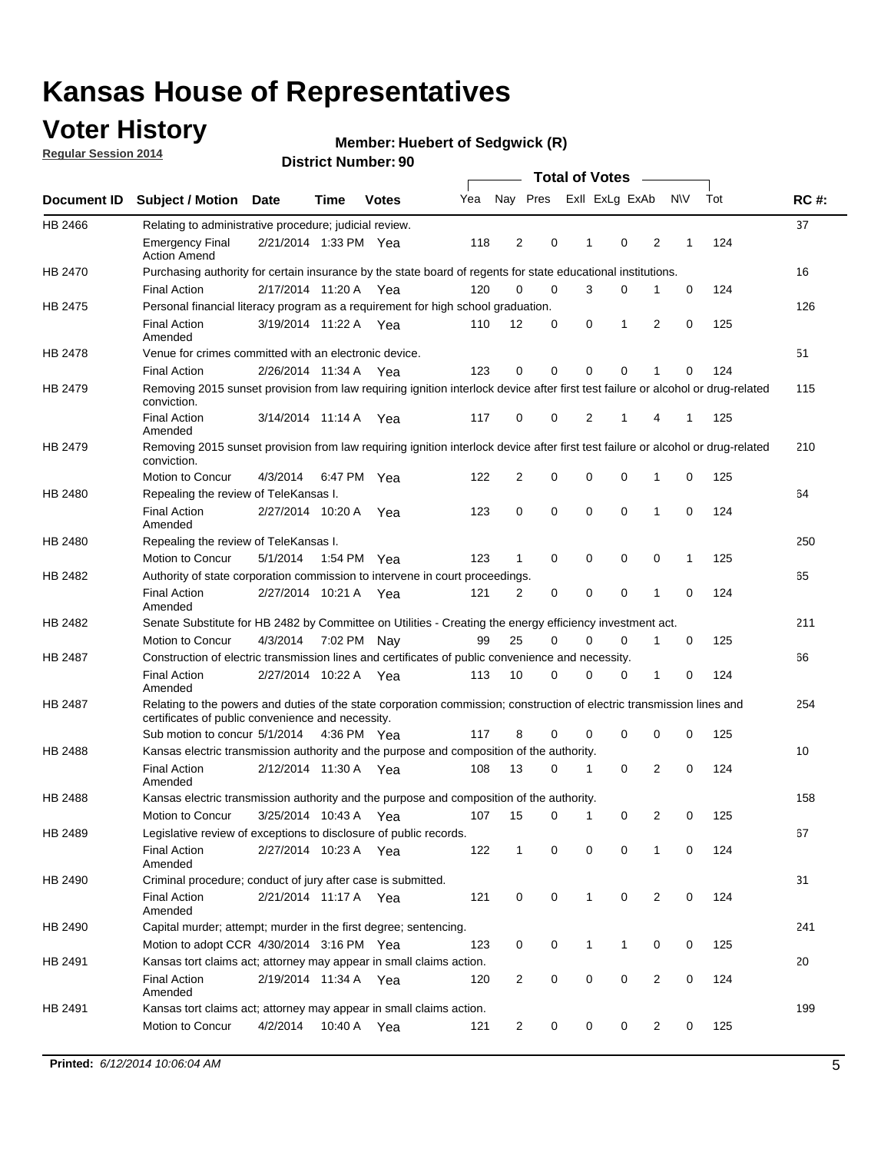## **Voter History**

**Regular Session 2014**

#### **Member: Huebert of Sedgwick (R)**

|         |                                                                                                                                                                             |                       |         |              |     |                |          | <b>Total of Votes</b> |                |                |             |     |             |
|---------|-----------------------------------------------------------------------------------------------------------------------------------------------------------------------------|-----------------------|---------|--------------|-----|----------------|----------|-----------------------|----------------|----------------|-------------|-----|-------------|
|         | Document ID Subject / Motion Date                                                                                                                                           |                       | Time    | <b>Votes</b> | Yea |                | Nay Pres |                       | Exll ExLg ExAb |                | <b>NV</b>   | Tot | <b>RC#:</b> |
| HB 2466 | Relating to administrative procedure; judicial review.                                                                                                                      |                       |         |              |     |                |          |                       |                |                |             |     | 37          |
|         | <b>Emergency Final</b><br><b>Action Amend</b>                                                                                                                               | 2/21/2014 1:33 PM Yea |         |              | 118 | 2              | 0        | 1                     | 0              | 2              | 1           | 124 |             |
| HB 2470 | Purchasing authority for certain insurance by the state board of regents for state educational institutions.                                                                |                       |         |              |     |                |          |                       |                |                |             |     | 16          |
|         | <b>Final Action</b>                                                                                                                                                         | 2/17/2014 11:20 A Yea |         |              | 120 | 0              | 0        | 3                     | 0              | 1              | 0           | 124 |             |
| HB 2475 | Personal financial literacy program as a requirement for high school graduation.                                                                                            |                       |         |              |     |                |          |                       |                |                |             |     | 126         |
|         | <b>Final Action</b><br>Amended                                                                                                                                              | 3/19/2014 11:22 A Yea |         |              | 110 | 12             | 0        | 0                     | 1              | 2              | $\mathbf 0$ | 125 |             |
| HB 2478 | Venue for crimes committed with an electronic device.                                                                                                                       |                       |         |              |     |                |          |                       |                |                |             |     | 51          |
|         | <b>Final Action</b>                                                                                                                                                         | 2/26/2014 11:34 A     |         | Yea          | 123 | 0              | 0        | $\mathbf 0$           | $\mathbf 0$    | 1              | 0           | 124 |             |
| HB 2479 | Removing 2015 sunset provision from law requiring ignition interlock device after first test failure or alcohol or drug-related<br>conviction.                              |                       |         |              |     |                |          |                       |                |                |             |     | 115         |
|         | <b>Final Action</b><br>Amended                                                                                                                                              | 3/14/2014 11:14 A     |         | Yea          | 117 | 0              | 0        | 2                     | 1              | 4              | 1           | 125 |             |
| HB 2479 | Removing 2015 sunset provision from law requiring ignition interlock device after first test failure or alcohol or drug-related<br>conviction.                              |                       |         |              |     |                |          |                       |                |                |             |     | 210         |
|         | Motion to Concur                                                                                                                                                            | 4/3/2014              |         | 6:47 PM Yea  | 122 | 2              | 0        | $\mathbf 0$           | $\mathbf 0$    | 1              | 0           | 125 |             |
| HB 2480 | Repealing the review of TeleKansas I.                                                                                                                                       |                       |         |              |     |                |          |                       |                |                |             |     | 64          |
|         | <b>Final Action</b><br>Amended                                                                                                                                              | 2/27/2014 10:20 A     |         | Yea          | 123 | 0              | 0        | $\mathbf 0$           | $\mathbf 0$    | 1              | 0           | 124 |             |
| HB 2480 | Repealing the review of TeleKansas I.                                                                                                                                       |                       |         |              |     |                |          |                       |                |                |             |     | 250         |
|         | Motion to Concur                                                                                                                                                            | 5/1/2014              |         | 1:54 PM Yea  | 123 | 1              | 0        | 0                     | $\mathbf 0$    | 0              | 1           | 125 |             |
| HB 2482 | Authority of state corporation commission to intervene in court proceedings.                                                                                                |                       |         |              |     |                |          |                       |                |                |             |     | 65          |
|         | <b>Final Action</b><br>Amended                                                                                                                                              | 2/27/2014 10:21 A     |         | Yea          | 121 | 2              | 0        | 0                     | $\mathbf 0$    | 1              | $\mathbf 0$ | 124 |             |
| HB 2482 | Senate Substitute for HB 2482 by Committee on Utilities - Creating the energy efficiency investment act.                                                                    |                       |         |              |     |                |          |                       |                |                |             |     | 211         |
|         | Motion to Concur                                                                                                                                                            | 4/3/2014 7:02 PM Nay  |         |              | 99  | 25             | 0        | 0                     | 0              | 1              | 0           | 125 |             |
| HB 2487 | Construction of electric transmission lines and certificates of public convenience and necessity.                                                                           |                       |         |              |     |                |          |                       |                |                |             |     | 66          |
|         | <b>Final Action</b><br>Amended                                                                                                                                              | 2/27/2014 10:22 A     |         | Yea          | 113 | 10             | 0        | 0                     | 0              | 1              | 0           | 124 |             |
| HB 2487 | Relating to the powers and duties of the state corporation commission; construction of electric transmission lines and<br>certificates of public convenience and necessity. |                       |         |              |     |                |          |                       |                |                |             |     | 254         |
|         | Sub motion to concur 5/1/2014                                                                                                                                               |                       |         | 4:36 PM Yea  | 117 | 8              | 0        | 0                     | 0              | 0              | 0           | 125 |             |
| HB 2488 | Kansas electric transmission authority and the purpose and composition of the authority.                                                                                    |                       |         |              |     |                |          |                       |                |                |             |     | 10          |
|         | <b>Final Action</b><br>Amended                                                                                                                                              | 2/12/2014 11:30 A     |         | Yea          | 108 | 13             | 0        | 1                     | 0              | 2              | 0           | 124 |             |
| HB 2488 | Kansas electric transmission authority and the purpose and composition of the authority.                                                                                    |                       |         |              |     |                |          |                       |                |                |             |     | 158         |
|         | Motion to Concur                                                                                                                                                            | 3/25/2014 10:43 A     |         | Yea          | 107 | 15             | 0        | 1                     | 0              | 2              | 0           | 125 |             |
| HB 2489 | Legislative review of exceptions to disclosure of public records.                                                                                                           |                       |         |              |     |                |          |                       |                |                |             |     | 67          |
|         | <b>Final Action</b><br>Amended                                                                                                                                              | 2/27/2014 10:23 A Yea |         |              | 122 | $\mathbf 1$    | 0        | 0                     | $\mathbf 0$    | 1              | 0           | 124 |             |
| HB 2490 | Criminal procedure; conduct of jury after case is submitted.                                                                                                                |                       |         |              |     |                |          |                       |                |                |             |     | 31          |
|         | <b>Final Action</b><br>Amended                                                                                                                                              | 2/21/2014 11:17 A Yea |         |              | 121 | 0              | 0        | 1                     | $\mathbf 0$    | 2              | 0           | 124 |             |
| HB 2490 | Capital murder; attempt; murder in the first degree; sentencing.                                                                                                            |                       |         |              |     |                |          |                       |                |                |             |     | 241         |
|         | Motion to adopt CCR 4/30/2014 3:16 PM Yea                                                                                                                                   |                       |         |              | 123 | 0              | 0        | $\mathbf{1}$          | 1              | 0              | 0           | 125 |             |
| HB 2491 | Kansas tort claims act; attorney may appear in small claims action.                                                                                                         |                       |         |              |     |                |          |                       |                |                |             |     | 20          |
|         | <b>Final Action</b><br>Amended                                                                                                                                              | 2/19/2014 11:34 A Yea |         |              | 120 | 2              | 0        | 0                     | $\pmb{0}$      | $\overline{2}$ | 0           | 124 |             |
| HB 2491 | Kansas tort claims act; attorney may appear in small claims action.                                                                                                         |                       |         |              |     |                |          |                       |                |                |             |     | 199         |
|         | Motion to Concur                                                                                                                                                            | 4/2/2014              | 10:40 A | Yea          | 121 | $\overline{2}$ | 0        | 0                     | 0              | $\overline{2}$ | 0           | 125 |             |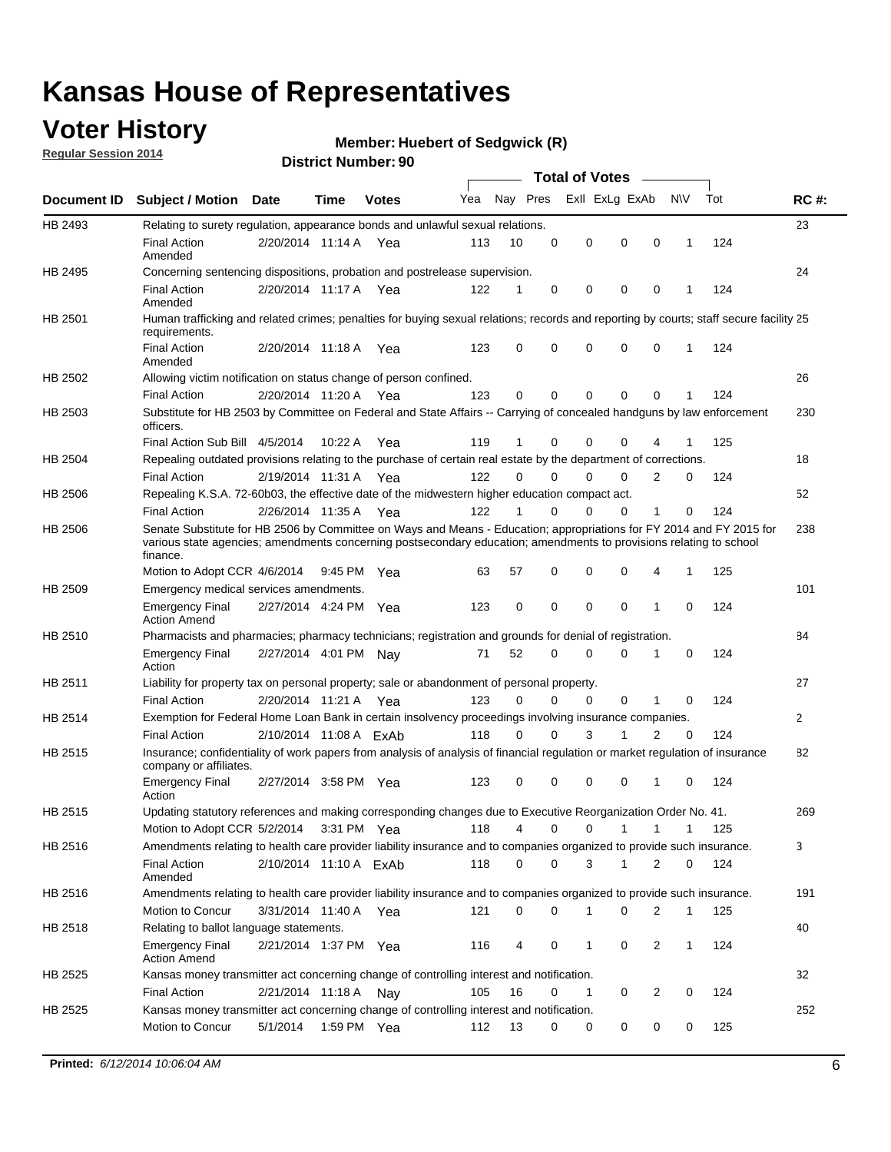## **Voter History**

**Regular Session 2014**

#### **Member: Huebert of Sedgwick (R)**

|                    |                                                                                                                                                                                                                                                        |                        |             |              |     |          |          | <b>Total of Votes</b> |              |                |              |     |              |
|--------------------|--------------------------------------------------------------------------------------------------------------------------------------------------------------------------------------------------------------------------------------------------------|------------------------|-------------|--------------|-----|----------|----------|-----------------------|--------------|----------------|--------------|-----|--------------|
| <b>Document ID</b> | <b>Subject / Motion Date</b>                                                                                                                                                                                                                           |                        | Time        | <b>Votes</b> | Yea | Nay Pres |          | Exll ExLg ExAb        |              |                | <b>NV</b>    | Tot | <b>RC#:</b>  |
| HB 2493            | Relating to surety regulation, appearance bonds and unlawful sexual relations.                                                                                                                                                                         |                        |             |              |     |          |          |                       |              |                |              |     | 23           |
|                    | <b>Final Action</b><br>Amended                                                                                                                                                                                                                         | 2/20/2014 11:14 A      |             | Yea          | 113 | 10       | 0        | 0                     | $\mathbf 0$  | 0              | $\mathbf 1$  | 124 |              |
| HB 2495            | Concerning sentencing dispositions, probation and postrelease supervision.                                                                                                                                                                             |                        |             |              |     |          |          |                       |              |                |              |     | 24           |
|                    | <b>Final Action</b><br>Amended                                                                                                                                                                                                                         | 2/20/2014 11:17 A Yea  |             |              | 122 | 1        | 0        | 0                     | $\mathbf 0$  | $\mathbf 0$    | -1           | 124 |              |
| HB 2501            | Human trafficking and related crimes; penalties for buying sexual relations; records and reporting by courts; staff secure facility 25<br>requirements.                                                                                                |                        |             |              |     |          |          |                       |              |                |              |     |              |
|                    | <b>Final Action</b><br>Amended                                                                                                                                                                                                                         | 2/20/2014 11:18 A Yea  |             |              | 123 | $\Omega$ | 0        | 0                     | $\Omega$     | $\mathbf 0$    | 1            | 124 |              |
| HB 2502            | Allowing victim notification on status change of person confined.                                                                                                                                                                                      |                        |             |              |     |          |          |                       |              |                |              |     | 26           |
|                    | <b>Final Action</b>                                                                                                                                                                                                                                    | 2/20/2014 11:20 A Yea  |             |              | 123 | $\Omega$ | 0        | $\mathbf{0}$          | $\Omega$     | $\Omega$       |              | 124 |              |
| HB 2503            | Substitute for HB 2503 by Committee on Federal and State Affairs -- Carrying of concealed handguns by law enforcement<br>officers.                                                                                                                     |                        |             |              |     |          |          |                       |              |                |              |     | 230          |
|                    | Final Action Sub Bill 4/5/2014                                                                                                                                                                                                                         |                        | 10:22 A     | Yea          | 119 |          | 0        | 0                     | 0            | 4              |              | 125 |              |
| HB 2504            | Repealing outdated provisions relating to the purchase of certain real estate by the department of corrections.                                                                                                                                        |                        |             |              |     |          |          |                       |              |                |              |     | 18           |
|                    | <b>Final Action</b>                                                                                                                                                                                                                                    | 2/19/2014 11:31 A Yea  |             |              | 122 | $\Omega$ | $\Omega$ | 0                     | $\mathbf{0}$ | $\overline{2}$ | 0            | 124 |              |
| HB 2506            | Repealing K.S.A. 72-60b03, the effective date of the midwestern higher education compact act.                                                                                                                                                          |                        |             |              |     |          |          |                       |              |                |              |     | 52           |
|                    | <b>Final Action</b>                                                                                                                                                                                                                                    | 2/26/2014 11:35 A Yea  |             |              | 122 |          | $\Omega$ | 0                     | 0            | 1              | 0            | 124 |              |
| HB 2506            | Senate Substitute for HB 2506 by Committee on Ways and Means - Education; appropriations for FY 2014 and FY 2015 for<br>various state agencies; amendments concerning postsecondary education; amendments to provisions relating to school<br>finance. |                        |             |              |     |          |          |                       |              |                |              |     | 238          |
|                    | Motion to Adopt CCR 4/6/2014                                                                                                                                                                                                                           |                        | 9:45 PM Yea |              | 63  | 57       | 0        | 0                     | 0            | 4              | -1           | 125 |              |
| HB 2509            | Emergency medical services amendments.                                                                                                                                                                                                                 |                        |             |              |     |          |          |                       |              |                |              |     | 101          |
|                    | Emergency Final<br><b>Action Amend</b>                                                                                                                                                                                                                 | 2/27/2014 4:24 PM Yea  |             |              | 123 | 0        | 0        | $\mathbf 0$           | 0            | 1              | 0            | 124 |              |
| HB 2510            | Pharmacists and pharmacies; pharmacy technicians; registration and grounds for denial of registration.                                                                                                                                                 |                        |             |              |     |          |          |                       |              |                |              |     | 84           |
|                    | <b>Emergency Final</b><br>Action                                                                                                                                                                                                                       | 2/27/2014 4:01 PM Nay  |             |              | 71  | 52       | 0        | 0                     | 0            | 1              | 0            | 124 |              |
| HB 2511            | Liability for property tax on personal property; sale or abandonment of personal property.                                                                                                                                                             |                        |             |              |     |          |          |                       |              |                |              |     | 27           |
|                    | <b>Final Action</b>                                                                                                                                                                                                                                    | 2/20/2014 11:21 A Yea  |             |              | 123 | $\Omega$ | $\Omega$ | 0                     | 0            | 1              | 0            | 124 |              |
| HB 2514            | Exemption for Federal Home Loan Bank in certain insolvency proceedings involving insurance companies.                                                                                                                                                  |                        |             |              |     |          |          |                       |              |                |              |     | $\mathbf{2}$ |
|                    | <b>Final Action</b>                                                                                                                                                                                                                                    | 2/10/2014 11:08 A ExAb |             |              | 118 | $\Omega$ | $\Omega$ | 3                     | 1            | 2              | $\mathbf 0$  | 124 |              |
| HB 2515            | Insurance; confidentiality of work papers from analysis of analysis of financial regulation or market regulation of insurance<br>company or affiliates.                                                                                                |                        |             |              |     |          |          |                       |              |                |              |     | 82           |
|                    | <b>Emergency Final</b><br>Action                                                                                                                                                                                                                       | 2/27/2014 3:58 PM Yea  |             |              | 123 | 0        | 0        | 0                     | 0            | 1              | 0            | 124 |              |
| HB 2515            | Updating statutory references and making corresponding changes due to Executive Reorganization Order No. 41.                                                                                                                                           |                        |             |              |     |          |          |                       |              |                |              |     | 269          |
|                    | Motion to Adopt CCR 5/2/2014 3:31 PM Yea                                                                                                                                                                                                               |                        |             |              | 118 | 4        | 0        | 0                     | $\mathbf{1}$ | $\mathbf{1}$   | $\mathbf{1}$ | 125 |              |
| HB 2516            | Amendments relating to health care provider liability insurance and to companies organized to provide such insurance.                                                                                                                                  |                        |             |              |     |          |          |                       |              |                |              |     | 3            |
|                    | <b>Final Action</b><br>Amended                                                                                                                                                                                                                         | 2/10/2014 11:10 A ExAb |             |              | 118 | 0        | 0        | 3                     | 1            | 2              | 0            | 124 |              |
| HB 2516            | Amendments relating to health care provider liability insurance and to companies organized to provide such insurance.                                                                                                                                  |                        |             |              |     |          |          |                       |              |                |              |     | 191          |
|                    | Motion to Concur                                                                                                                                                                                                                                       | 3/31/2014 11:40 A Yea  |             |              | 121 | 0        | 0        | 1                     | 0            | 2              | $\mathbf{1}$ | 125 |              |
| HB 2518            | Relating to ballot language statements.                                                                                                                                                                                                                |                        |             |              |     |          |          |                       |              |                |              |     | 40           |
|                    | Emergency Final<br><b>Action Amend</b>                                                                                                                                                                                                                 | 2/21/2014 1:37 PM Yea  |             |              | 116 | 4        | 0        | 1                     | 0            | 2              | 1            | 124 |              |
| HB 2525            | Kansas money transmitter act concerning change of controlling interest and notification.                                                                                                                                                               |                        |             |              |     |          |          |                       |              |                |              |     | 32           |
|                    | <b>Final Action</b>                                                                                                                                                                                                                                    | 2/21/2014 11:18 A Nay  |             |              | 105 | 16       | 0        | $\mathbf{1}$          | 0            | 2              | 0            | 124 |              |
| HB 2525            | Kansas money transmitter act concerning change of controlling interest and notification.                                                                                                                                                               |                        |             |              |     |          |          |                       |              |                |              |     | 252          |
|                    | Motion to Concur                                                                                                                                                                                                                                       | 5/1/2014               |             | 1:59 PM Yea  | 112 | 13       | 0        | 0                     | 0            | 0              | 0            | 125 |              |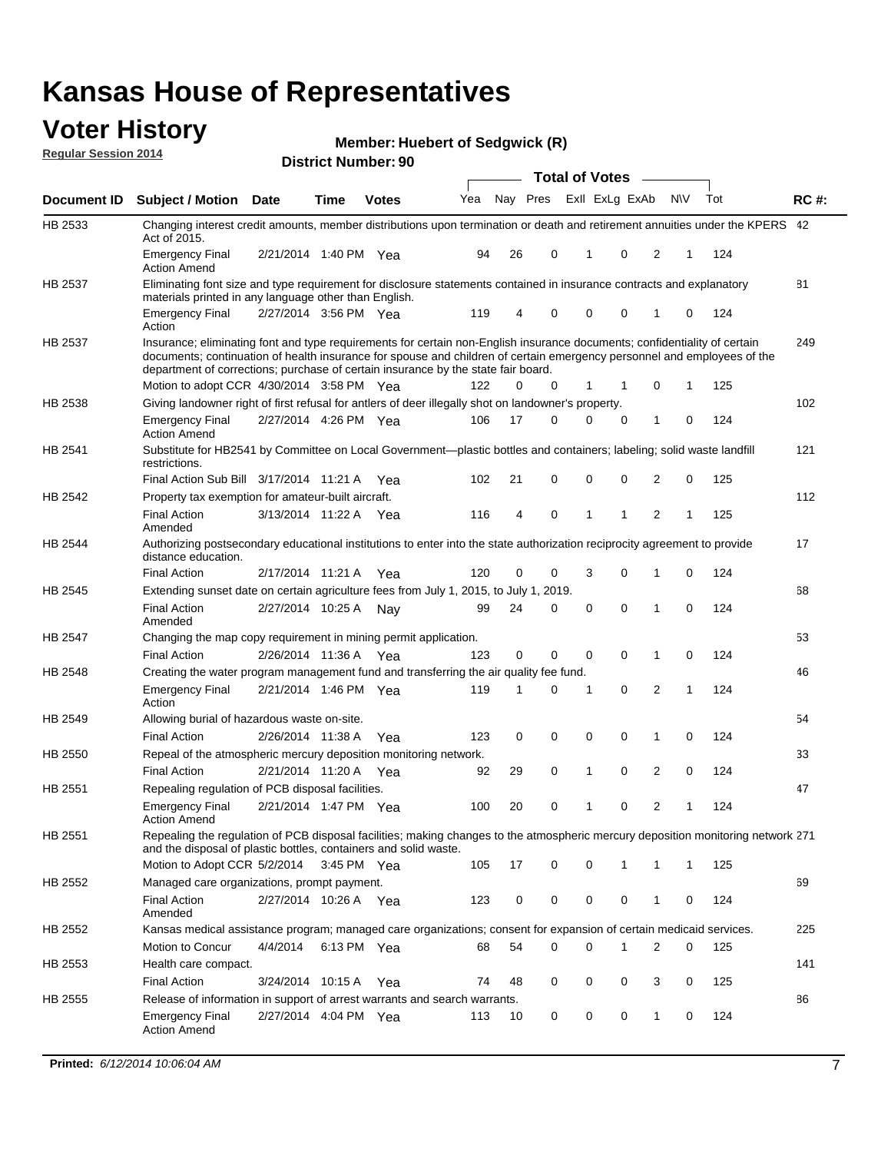#### **Voter History Regular Session 2014**

**Member: Huebert of Sedgwick (R)** 

|                |                                                                                                                                                                                                                                                                                                                                           |                       |             |              |     |          |   | <b>Total of Votes</b> |              |                |           |     |             |
|----------------|-------------------------------------------------------------------------------------------------------------------------------------------------------------------------------------------------------------------------------------------------------------------------------------------------------------------------------------------|-----------------------|-------------|--------------|-----|----------|---|-----------------------|--------------|----------------|-----------|-----|-------------|
|                | Document ID Subject / Motion Date                                                                                                                                                                                                                                                                                                         |                       | Time        | <b>Votes</b> | Yea | Nay Pres |   | Exll ExLg ExAb        |              |                | <b>NV</b> | Tot | <b>RC#:</b> |
| HB 2533        | Changing interest credit amounts, member distributions upon termination or death and retirement annuities under the KPERS 42<br>Act of 2015.                                                                                                                                                                                              |                       |             |              |     |          |   |                       |              |                |           |     |             |
|                | <b>Emergency Final</b><br><b>Action Amend</b>                                                                                                                                                                                                                                                                                             | 2/21/2014 1:40 PM Yea |             |              | 94  | 26       | 0 | 1                     | 0            | 2              | 1         | 124 |             |
| HB 2537        | Eliminating font size and type requirement for disclosure statements contained in insurance contracts and explanatory<br>materials printed in any language other than English.                                                                                                                                                            |                       |             |              |     |          |   |                       |              |                |           |     | 81          |
|                | <b>Emergency Final</b><br>Action                                                                                                                                                                                                                                                                                                          | 2/27/2014 3:56 PM Yea |             |              | 119 | 4        | 0 | 0                     | 0            | 1              | 0         | 124 |             |
| HB 2537        | Insurance; eliminating font and type requirements for certain non-English insurance documents; confidentiality of certain<br>documents; continuation of health insurance for spouse and children of certain emergency personnel and employees of the<br>department of corrections; purchase of certain insurance by the state fair board. |                       |             |              |     |          |   |                       |              |                |           |     | 249         |
|                | Motion to adopt CCR 4/30/2014 3:58 PM Yea                                                                                                                                                                                                                                                                                                 |                       |             |              | 122 | 0        | 0 | 1                     | 1            | 0              | 1         | 125 |             |
| HB 2538        | Giving landowner right of first refusal for antlers of deer illegally shot on landowner's property.                                                                                                                                                                                                                                       |                       |             |              |     |          |   |                       |              |                |           |     | 102         |
|                | <b>Emergency Final</b><br><b>Action Amend</b>                                                                                                                                                                                                                                                                                             | 2/27/2014 4:26 PM Yea |             |              | 106 | 17       | 0 | 0                     | 0            | 1              | 0         | 124 |             |
| HB 2541        | Substitute for HB2541 by Committee on Local Government—plastic bottles and containers; labeling; solid waste landfill<br>restrictions.                                                                                                                                                                                                    |                       |             |              |     |          |   |                       |              |                |           |     | 121         |
|                | Final Action Sub Bill 3/17/2014 11:21 A Yea                                                                                                                                                                                                                                                                                               |                       |             |              | 102 | 21       | 0 | $\mathbf 0$           | 0            | 2              | 0         | 125 |             |
| <b>HB 2542</b> | Property tax exemption for amateur-built aircraft.                                                                                                                                                                                                                                                                                        |                       |             |              |     |          |   |                       |              |                |           |     | 112         |
|                | <b>Final Action</b><br>Amended                                                                                                                                                                                                                                                                                                            | 3/13/2014 11:22 A Yea |             |              | 116 | 4        | 0 | 1                     | 1            | 2              | 1         | 125 |             |
| <b>HB 2544</b> | Authorizing postsecondary educational institutions to enter into the state authorization reciprocity agreement to provide<br>distance education.                                                                                                                                                                                          |                       |             |              |     |          |   |                       |              |                |           |     | 17          |
|                | <b>Final Action</b>                                                                                                                                                                                                                                                                                                                       | 2/17/2014 11:21 A     |             | Yea          | 120 | 0        | 0 | 3                     | 0            | 1              | 0         | 124 |             |
| HB 2545        | Extending sunset date on certain agriculture fees from July 1, 2015, to July 1, 2019.                                                                                                                                                                                                                                                     |                       |             |              |     |          |   |                       |              |                |           |     | 68          |
|                | <b>Final Action</b><br>Amended                                                                                                                                                                                                                                                                                                            | 2/27/2014 10:25 A     |             | Nav          | 99  | 24       | 0 | 0                     | 0            | 1              | 0         | 124 |             |
| HB 2547        | Changing the map copy requirement in mining permit application.                                                                                                                                                                                                                                                                           |                       |             |              |     |          |   |                       |              |                |           |     | 53          |
|                | <b>Final Action</b>                                                                                                                                                                                                                                                                                                                       | 2/26/2014 11:36 A Yea |             |              | 123 | 0        | 0 | 0                     | 0            | 1              | 0         | 124 |             |
| HB 2548        | Creating the water program management fund and transferring the air quality fee fund.                                                                                                                                                                                                                                                     |                       |             |              |     |          |   |                       |              |                |           |     | 46          |
|                | <b>Emergency Final</b><br>Action                                                                                                                                                                                                                                                                                                          | 2/21/2014 1:46 PM Yea |             |              | 119 | 1        | 0 | 1                     | 0            | $\overline{2}$ | 1         | 124 |             |
| HB 2549        | Allowing burial of hazardous waste on-site.                                                                                                                                                                                                                                                                                               |                       |             |              |     |          |   |                       |              |                |           |     | 54          |
|                | <b>Final Action</b>                                                                                                                                                                                                                                                                                                                       | 2/26/2014 11:38 A     |             | Yea          | 123 | 0        | 0 | 0                     | 0            | 1              | 0         | 124 |             |
| HB 2550        | Repeal of the atmospheric mercury deposition monitoring network.                                                                                                                                                                                                                                                                          |                       |             |              |     |          |   |                       |              |                |           |     | 33          |
|                | <b>Final Action</b>                                                                                                                                                                                                                                                                                                                       | 2/21/2014 11:20 A Yea |             |              | 92  | 29       | 0 | 1                     | 0            | 2              | 0         | 124 |             |
| HB 2551        | Repealing regulation of PCB disposal facilities.                                                                                                                                                                                                                                                                                          |                       |             |              |     |          |   |                       |              |                |           |     | 47          |
|                | <b>Emergency Final</b><br><b>Action Amend</b>                                                                                                                                                                                                                                                                                             | 2/21/2014 1:47 PM Yea |             |              | 100 | 20       | 0 | 1                     | 0            | 2              | 1         | 124 |             |
| HB 2551        | Repealing the regulation of PCB disposal facilities; making changes to the atmospheric mercury deposition monitoring network 271<br>and the disposal of plastic bottles, containers and solid waste.                                                                                                                                      |                       |             |              |     |          |   |                       |              |                |           |     |             |
|                | Motion to Adopt CCR 5/2/2014                                                                                                                                                                                                                                                                                                              |                       | 3:45 PM Yea |              | 105 | 17       | 0 | 0                     | $\mathbf{1}$ | 1              | 1         | 125 |             |
| HB 2552        | Managed care organizations, prompt payment.                                                                                                                                                                                                                                                                                               |                       |             |              |     |          |   |                       |              |                |           |     | 69          |
|                | <b>Final Action</b><br>Amended                                                                                                                                                                                                                                                                                                            | 2/27/2014 10:26 A Yea |             |              | 123 | 0        | 0 | 0                     | 0            | 1              | 0         | 124 |             |
| HB 2552        | Kansas medical assistance program; managed care organizations; consent for expansion of certain medicaid services.                                                                                                                                                                                                                        |                       |             |              |     |          |   |                       |              |                |           |     | 225         |
|                | Motion to Concur                                                                                                                                                                                                                                                                                                                          | 4/4/2014              |             | 6:13 PM Yea  | 68  | 54       | 0 | 0                     | 1            | 2              | 0         | 125 |             |
| HB 2553        | Health care compact.                                                                                                                                                                                                                                                                                                                      |                       |             |              |     |          |   |                       |              |                |           |     | 141         |
|                | <b>Final Action</b>                                                                                                                                                                                                                                                                                                                       | 3/24/2014 10:15 A Yea |             |              | 74  | 48       | 0 | 0                     | 0            | 3              | 0         | 125 |             |
| HB 2555        | Release of information in support of arrest warrants and search warrants.                                                                                                                                                                                                                                                                 |                       |             |              |     |          |   |                       |              |                |           |     | 86          |
|                | <b>Emergency Final</b><br><b>Action Amend</b>                                                                                                                                                                                                                                                                                             | 2/27/2014 4:04 PM Yea |             |              | 113 | 10       | 0 | 0                     | 0            | 1              | 0         | 124 |             |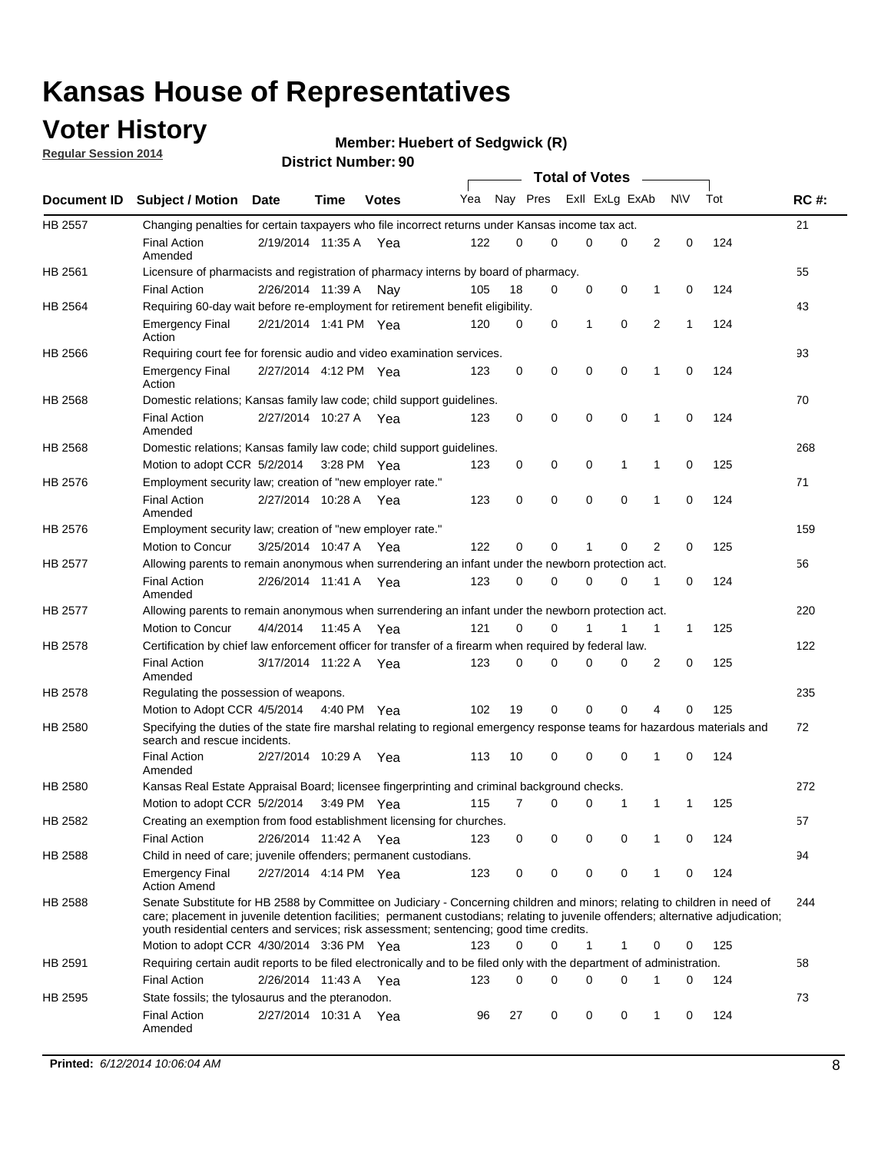## **Voter History**

**Regular Session 2014**

#### **Member: Huebert of Sedgwick (R)**

|                |                                                                                                                                                                                                                                                                                                                                                           |                       |         |              |     |          |   | <b>Total of Votes</b> |             |              |             |     |             |
|----------------|-----------------------------------------------------------------------------------------------------------------------------------------------------------------------------------------------------------------------------------------------------------------------------------------------------------------------------------------------------------|-----------------------|---------|--------------|-----|----------|---|-----------------------|-------------|--------------|-------------|-----|-------------|
|                | Document ID Subject / Motion Date                                                                                                                                                                                                                                                                                                                         |                       | Time    | <b>Votes</b> | Yea | Nay Pres |   | Exll ExLg ExAb        |             |              | N\V         | Tot | <b>RC#:</b> |
| <b>HB 2557</b> | Changing penalties for certain taxpayers who file incorrect returns under Kansas income tax act.                                                                                                                                                                                                                                                          |                       |         |              |     |          |   |                       |             |              |             |     | 21          |
|                | <b>Final Action</b><br>Amended                                                                                                                                                                                                                                                                                                                            | 2/19/2014 11:35 A     |         | Yea          | 122 | 0        | 0 | 0                     | 0           | 2            | $\mathbf 0$ | 124 |             |
| HB 2561        | Licensure of pharmacists and registration of pharmacy interns by board of pharmacy.                                                                                                                                                                                                                                                                       |                       |         |              |     |          |   |                       |             |              |             |     | 55          |
|                | <b>Final Action</b>                                                                                                                                                                                                                                                                                                                                       | 2/26/2014 11:39 A     |         | Nav          | 105 | 18       | 0 | 0                     | 0           | 1            | 0           | 124 |             |
| HB 2564        | Requiring 60-day wait before re-employment for retirement benefit eligibility.                                                                                                                                                                                                                                                                            |                       |         |              |     |          |   |                       |             |              |             |     | 43          |
|                | <b>Emergency Final</b><br>Action                                                                                                                                                                                                                                                                                                                          | 2/21/2014 1:41 PM Yea |         |              | 120 | 0        | 0 | 1                     | 0           | 2            | 1           | 124 |             |
| HB 2566        | Requiring court fee for forensic audio and video examination services.                                                                                                                                                                                                                                                                                    |                       |         |              |     |          |   |                       |             |              |             |     | 93          |
|                | <b>Emergency Final</b><br>Action                                                                                                                                                                                                                                                                                                                          | 2/27/2014 4:12 PM Yea |         |              | 123 | 0        | 0 | 0                     | $\mathbf 0$ | $\mathbf{1}$ | 0           | 124 |             |
| HB 2568        | Domestic relations; Kansas family law code; child support guidelines.                                                                                                                                                                                                                                                                                     |                       |         |              |     |          |   |                       |             |              |             |     | 70          |
|                | <b>Final Action</b><br>Amended                                                                                                                                                                                                                                                                                                                            | 2/27/2014 10:27 A     |         | Yea          | 123 | 0        | 0 | 0                     | $\mathbf 0$ | 1            | 0           | 124 |             |
| HB 2568        | Domestic relations; Kansas family law code; child support guidelines.                                                                                                                                                                                                                                                                                     |                       |         |              |     |          |   |                       |             |              |             |     | 268         |
|                | Motion to adopt CCR 5/2/2014                                                                                                                                                                                                                                                                                                                              |                       |         | 3:28 PM Yea  | 123 | 0        | 0 | 0                     | 1           | 1            | $\mathbf 0$ | 125 |             |
| HB 2576        | Employment security law; creation of "new employer rate."                                                                                                                                                                                                                                                                                                 |                       |         |              |     |          |   |                       |             |              |             |     | 71          |
|                | <b>Final Action</b><br>Amended                                                                                                                                                                                                                                                                                                                            | 2/27/2014 10:28 A Yea |         |              | 123 | 0        | 0 | 0                     | 0           | 1            | 0           | 124 |             |
| HB 2576        | Employment security law; creation of "new employer rate."                                                                                                                                                                                                                                                                                                 |                       |         |              |     |          |   |                       |             |              |             |     | 159         |
|                | Motion to Concur                                                                                                                                                                                                                                                                                                                                          | 3/25/2014 10:47 A     |         | Yea          | 122 | 0        | 0 | 1                     | 0           | 2            | 0           | 125 |             |
| HB 2577        | Allowing parents to remain anonymous when surrendering an infant under the newborn protection act.                                                                                                                                                                                                                                                        |                       |         |              |     |          |   |                       |             |              |             |     | 56          |
|                | <b>Final Action</b><br>Amended                                                                                                                                                                                                                                                                                                                            | 2/26/2014 11:41 A Yea |         |              | 123 | $\Omega$ | 0 | 0                     | $\Omega$    | 1            | 0           | 124 |             |
| HB 2577        | Allowing parents to remain anonymous when surrendering an infant under the newborn protection act.                                                                                                                                                                                                                                                        |                       |         |              |     |          |   |                       |             |              |             |     | 220         |
|                | Motion to Concur                                                                                                                                                                                                                                                                                                                                          | 4/4/2014              | 11:45 A | Yea          | 121 | $\Omega$ | 0 | 1                     | 1           | 1            | 1           | 125 |             |
| HB 2578        | Certification by chief law enforcement officer for transfer of a firearm when required by federal law.                                                                                                                                                                                                                                                    |                       |         |              |     |          |   |                       |             |              |             |     | 122         |
|                | <b>Final Action</b><br>Amended                                                                                                                                                                                                                                                                                                                            | 3/17/2014 11:22 A     |         | Yea          | 123 | $\Omega$ | 0 | 0                     | 0           | 2            | 0           | 125 |             |
| HB 2578        | Regulating the possession of weapons.                                                                                                                                                                                                                                                                                                                     |                       |         |              |     |          |   |                       |             |              |             |     | 235         |
|                | Motion to Adopt CCR 4/5/2014 4:40 PM Yea                                                                                                                                                                                                                                                                                                                  |                       |         |              | 102 | 19       | 0 | 0                     | 0           | 4            | 0           | 125 |             |
| HB 2580        | Specifying the duties of the state fire marshal relating to regional emergency response teams for hazardous materials and<br>search and rescue incidents.                                                                                                                                                                                                 |                       |         |              |     |          |   |                       |             |              |             |     | 72          |
|                | <b>Final Action</b><br>Amended                                                                                                                                                                                                                                                                                                                            | 2/27/2014 10:29 A     |         | Yea          | 113 | 10       | 0 | 0                     | $\mathbf 0$ | 1            | 0           | 124 |             |
| HB 2580        | Kansas Real Estate Appraisal Board; licensee fingerprinting and criminal background checks.                                                                                                                                                                                                                                                               |                       |         |              |     |          |   |                       |             |              |             |     | 272         |
|                | Motion to adopt CCR 5/2/2014                                                                                                                                                                                                                                                                                                                              |                       |         | 3:49 PM Yea  | 115 | 7        | 0 | 0                     | 1           | 1            | 1           | 125 |             |
| HB 2582        | Creating an exemption from food establishment licensing for churches.                                                                                                                                                                                                                                                                                     |                       |         |              |     |          |   |                       |             |              |             |     | 57          |
|                | <b>Final Action</b>                                                                                                                                                                                                                                                                                                                                       | 2/26/2014 11:42 A Yea |         |              | 123 | 0        | 0 | 0                     | 0           |              | 0           | 124 |             |
| HB 2588        | Child in need of care; juvenile offenders; permanent custodians.                                                                                                                                                                                                                                                                                          |                       |         |              |     |          |   |                       |             |              |             |     | 94          |
|                | <b>Emergency Final</b><br><b>Action Amend</b>                                                                                                                                                                                                                                                                                                             | 2/27/2014 4:14 PM Yea |         |              | 123 | 0        | 0 | 0                     | 0           | 1            | 0           | 124 |             |
| HB 2588        | Senate Substitute for HB 2588 by Committee on Judiciary - Concerning children and minors; relating to children in need of<br>care; placement in juvenile detention facilities; permanent custodians; relating to juvenile offenders; alternative adjudication;<br>youth residential centers and services; risk assessment; sentencing; good time credits. |                       |         |              |     |          |   |                       |             |              |             |     | 244         |
|                | Motion to adopt CCR 4/30/2014 3:36 PM Yea                                                                                                                                                                                                                                                                                                                 |                       |         |              | 123 | 0        | 0 | 1                     | 1           | 0            | 0           | 125 |             |
| HB 2591        | Requiring certain audit reports to be filed electronically and to be filed only with the department of administration.                                                                                                                                                                                                                                    |                       |         |              |     |          |   |                       |             |              |             |     | 58          |
|                | <b>Final Action</b>                                                                                                                                                                                                                                                                                                                                       | 2/26/2014 11:43 A Yea |         |              | 123 | 0        | 0 | 0                     | 0           | 1            | 0           | 124 |             |
| HB 2595        | State fossils; the tylosaurus and the pteranodon.                                                                                                                                                                                                                                                                                                         |                       |         |              |     |          |   |                       |             |              |             |     | 73          |
|                | <b>Final Action</b><br>Amended                                                                                                                                                                                                                                                                                                                            | 2/27/2014 10:31 A Yea |         |              | 96  | 27       | 0 | 0                     | 0           | 1            | 0           | 124 |             |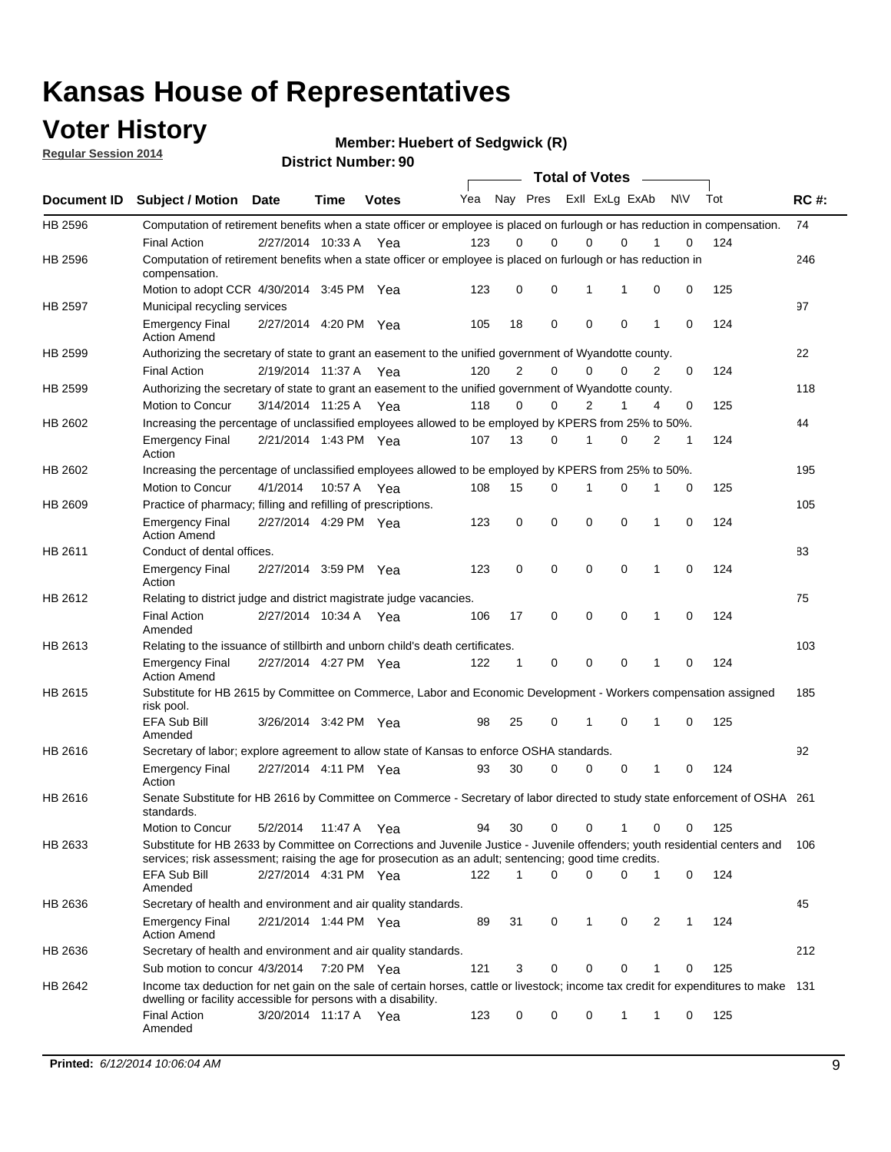## **Voter History**

**Regular Session 2014**

**Member: Huebert of Sedgwick (R)** 

|                    |                                                                                                                                                                                                                                       |                       |             | <b>DISTRICT NUMBER: 90</b> |     |    |             |             | <b>Total of Votes</b>      | $\sim$       |           |     |             |
|--------------------|---------------------------------------------------------------------------------------------------------------------------------------------------------------------------------------------------------------------------------------|-----------------------|-------------|----------------------------|-----|----|-------------|-------------|----------------------------|--------------|-----------|-----|-------------|
| Document <b>ID</b> | <b>Subject / Motion Date</b>                                                                                                                                                                                                          |                       | Time        | <b>Votes</b>               | Yea |    |             |             | Nay Pres ExII ExLg ExAb    |              | <b>NV</b> | Tot | <b>RC#:</b> |
| HB 2596            | Computation of retirement benefits when a state officer or employee is placed on furlough or has reduction in compensation.                                                                                                           |                       |             |                            |     |    |             |             |                            |              |           |     | 74          |
|                    | <b>Final Action</b>                                                                                                                                                                                                                   | 2/27/2014 10:33 A     |             | Yea                        | 123 | 0  | $\Omega$    |             | 0<br>0                     |              | 0         | 124 |             |
| HB 2596            | Computation of retirement benefits when a state officer or employee is placed on furlough or has reduction in<br>compensation.                                                                                                        |                       |             |                            |     |    |             |             |                            |              |           |     | 246         |
|                    | Motion to adopt CCR 4/30/2014 3:45 PM Yea                                                                                                                                                                                             |                       |             |                            | 123 | 0  | $\mathbf 0$ |             | 1<br>1                     | 0            | 0         | 125 |             |
| HB 2597            | Municipal recycling services                                                                                                                                                                                                          |                       |             |                            |     |    |             |             |                            |              |           |     | 97          |
|                    | <b>Emergency Final</b><br><b>Action Amend</b>                                                                                                                                                                                         | 2/27/2014 4:20 PM Yea |             |                            | 105 | 18 | $\mathbf 0$ |             | $\mathbf 0$<br>$\mathbf 0$ | 1            | 0         | 124 |             |
| HB 2599            | Authorizing the secretary of state to grant an easement to the unified government of Wyandotte county.                                                                                                                                |                       |             |                            |     |    |             |             |                            |              |           |     | 22          |
|                    | <b>Final Action</b>                                                                                                                                                                                                                   | 2/19/2014 11:37 A     |             | Yea                        | 120 | 2  | 0           |             | 0<br>$\Omega$              | 2            | 0         | 124 |             |
| HB 2599            | Authorizing the secretary of state to grant an easement to the unified government of Wyandotte county.                                                                                                                                |                       |             |                            |     |    |             |             |                            |              |           |     | 118         |
|                    | Motion to Concur                                                                                                                                                                                                                      | 3/14/2014 11:25 A     |             | Yea                        | 118 | 0  | 0           |             | 2<br>1                     | 4            | 0         | 125 |             |
| HB 2602            | Increasing the percentage of unclassified employees allowed to be employed by KPERS from 25% to 50%.                                                                                                                                  |                       |             |                            |     |    |             |             |                            |              |           |     | 44          |
|                    | <b>Emergency Final</b><br>Action                                                                                                                                                                                                      | 2/21/2014 1:43 PM Yea |             |                            | 107 | 13 | 0           | 1           | 0                          | 2            | 1         | 124 |             |
| HB 2602            | Increasing the percentage of unclassified employees allowed to be employed by KPERS from 25% to 50%.                                                                                                                                  |                       |             |                            |     |    |             |             |                            |              |           |     | 195         |
|                    | Motion to Concur                                                                                                                                                                                                                      | 4/1/2014              |             | 10:57 A Yea                | 108 | 15 | 0           | 1           | 0                          |              | 0         | 125 |             |
| HB 2609            | Practice of pharmacy; filling and refilling of prescriptions.                                                                                                                                                                         |                       |             |                            |     |    |             |             |                            |              |           |     | 105         |
|                    | <b>Emergency Final</b><br><b>Action Amend</b>                                                                                                                                                                                         | 2/27/2014 4:29 PM Yea |             |                            | 123 | 0  | $\mathbf 0$ |             | $\mathbf 0$<br>$\Omega$    | 1            | 0         | 124 |             |
| HB 2611            | Conduct of dental offices.                                                                                                                                                                                                            |                       |             |                            |     |    |             |             |                            |              |           |     | 83          |
|                    | <b>Emergency Final</b><br>Action                                                                                                                                                                                                      | 2/27/2014 3:59 PM Yea |             |                            | 123 | 0  | $\mathbf 0$ |             | $\mathbf 0$<br>$\mathbf 0$ | 1            | 0         | 124 |             |
| HB 2612            | Relating to district judge and district magistrate judge vacancies.                                                                                                                                                                   |                       |             |                            |     |    |             |             |                            |              |           |     | 75          |
|                    | <b>Final Action</b><br>Amended                                                                                                                                                                                                        | 2/27/2014 10:34 A     |             | Yea                        | 106 | 17 | 0           | $\mathbf 0$ | 0                          | 1            | 0         | 124 |             |
| HB 2613            | Relating to the issuance of stillbirth and unborn child's death certificates.                                                                                                                                                         |                       |             |                            |     |    |             |             |                            |              |           |     | 103         |
|                    | <b>Emergency Final</b><br><b>Action Amend</b>                                                                                                                                                                                         | 2/27/2014 4:27 PM Yea |             |                            | 122 | 1  | 0           |             | 0<br>0                     | 1            | 0         | 124 |             |
| HB 2615            | Substitute for HB 2615 by Committee on Commerce, Labor and Economic Development - Workers compensation assigned<br>risk pool.                                                                                                         |                       |             |                            |     |    |             |             |                            |              |           |     | 185         |
|                    | EFA Sub Bill<br>Amended                                                                                                                                                                                                               | 3/26/2014 3:42 PM Yea |             |                            | 98  | 25 | 0           | 1           | $\Omega$                   | 1            | 0         | 125 |             |
| HB 2616            | Secretary of labor; explore agreement to allow state of Kansas to enforce OSHA standards.                                                                                                                                             |                       |             |                            |     |    |             |             |                            |              |           |     | 92          |
|                    | <b>Emergency Final</b><br>Action                                                                                                                                                                                                      | 2/27/2014 4:11 PM Yea |             |                            | 93  | 30 | 0           |             | 0<br>0                     | 1            | 0         | 124 |             |
| HB 2616            | Senate Substitute for HB 2616 by Committee on Commerce - Secretary of labor directed to study state enforcement of OSHA 261<br>standards.                                                                                             |                       |             |                            |     |    |             |             |                            |              |           |     |             |
|                    | Motion to Concur                                                                                                                                                                                                                      | 5/2/2014              | 11:47 A Yea |                            | 94  | 30 | 0           |             | 0<br>1                     | 0            | 0         | 125 |             |
| HB 2633            | Substitute for HB 2633 by Committee on Corrections and Juvenile Justice - Juvenile offenders; youth residential centers and<br>services; risk assessment; raising the age for prosecution as an adult; sentencing; good time credits. |                       |             |                            |     |    |             |             |                            |              |           |     | 106         |
|                    | EFA Sub Bill<br>Amended                                                                                                                                                                                                               | 2/27/2014 4:31 PM Yea |             |                            | 122 | 1  | $\Omega$    |             | 0<br>0                     | $\mathbf{1}$ | 0         | 124 |             |
| HB 2636            | Secretary of health and environment and air quality standards.                                                                                                                                                                        |                       |             |                            |     |    |             |             |                            |              |           |     | 45          |
|                    | <b>Emergency Final</b><br><b>Action Amend</b>                                                                                                                                                                                         | 2/21/2014 1:44 PM Yea |             |                            | 89  | 31 | 0           | 1           | 0                          | 2            | 1         | 124 |             |
| HB 2636            | Secretary of health and environment and air quality standards.                                                                                                                                                                        |                       |             |                            |     |    |             |             |                            |              |           |     | 212         |
|                    | Sub motion to concur 4/3/2014                                                                                                                                                                                                         |                       | 7:20 PM Yea |                            | 121 | 3  | 0           |             | 0<br>0                     |              | 0         | 125 |             |
| HB 2642            | Income tax deduction for net gain on the sale of certain horses, cattle or livestock; income tax credit for expenditures to make 131<br>dwelling or facility accessible for persons with a disability.                                |                       |             |                            |     |    |             |             |                            |              |           |     |             |
|                    | <b>Final Action</b><br>Amended                                                                                                                                                                                                        | 3/20/2014 11:17 A Yea |             |                            | 123 | 0  | 0           |             | 0<br>$\mathbf{1}$          | 1            | 0         | 125 |             |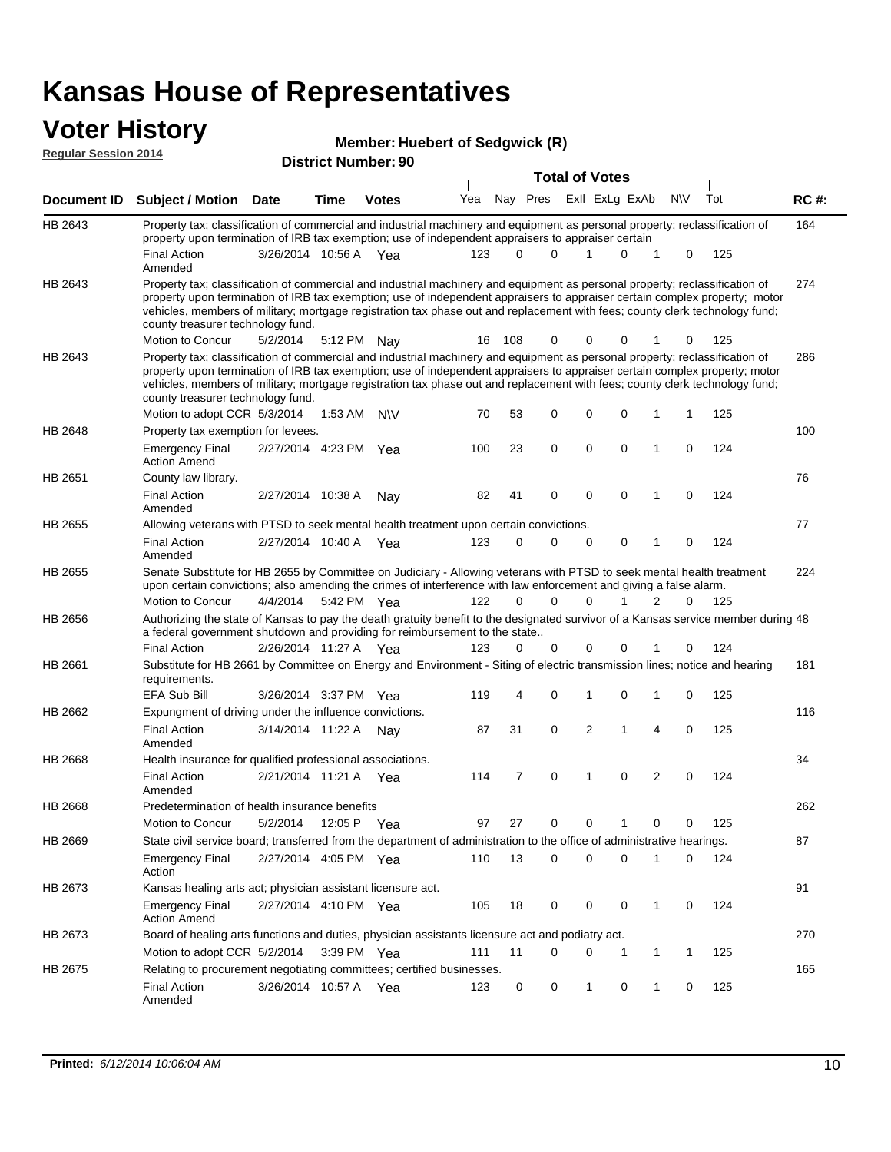### **Voter History Regular Session 2014**

| noguidi ocoololi 4017 |                                                                                                                                                                                                                                                                                                                                                                                                                               | <b>District Number: 90</b> |             |              |     |          |             |  |                       |                |   |            |     |             |
|-----------------------|-------------------------------------------------------------------------------------------------------------------------------------------------------------------------------------------------------------------------------------------------------------------------------------------------------------------------------------------------------------------------------------------------------------------------------|----------------------------|-------------|--------------|-----|----------|-------------|--|-----------------------|----------------|---|------------|-----|-------------|
|                       |                                                                                                                                                                                                                                                                                                                                                                                                                               |                            |             |              |     |          |             |  | <b>Total of Votes</b> |                |   |            |     |             |
| Document ID           | <b>Subject / Motion Date</b>                                                                                                                                                                                                                                                                                                                                                                                                  |                            | Time        | <b>Votes</b> | Yea |          | Nay Pres    |  |                       | Exll ExLg ExAb |   | <b>NIV</b> | Tot | <b>RC#:</b> |
| HB 2643               | Property tax; classification of commercial and industrial machinery and equipment as personal property; reclassification of<br>property upon termination of IRB tax exemption; use of independent appraisers to appraiser certain                                                                                                                                                                                             |                            |             |              |     |          |             |  |                       |                |   |            |     | 164         |
|                       | <b>Final Action</b><br>Amended                                                                                                                                                                                                                                                                                                                                                                                                | 3/26/2014 10:56 A Yea      |             |              | 123 | 0        | 0           |  | 1                     | 0              | 1 | 0          | 125 |             |
| HB 2643               | Property tax; classification of commercial and industrial machinery and equipment as personal property; reclassification of<br>property upon termination of IRB tax exemption; use of independent appraisers to appraiser certain complex property; motor<br>vehicles, members of military; mortgage registration tax phase out and replacement with fees; county clerk technology fund;<br>county treasurer technology fund. |                            |             |              |     |          |             |  |                       |                |   |            |     | 274         |
|                       | Motion to Concur                                                                                                                                                                                                                                                                                                                                                                                                              | 5/2/2014                   |             | 5:12 PM Nay  | 16  | 108      | 0           |  | 0                     | 0              |   | 0          | 125 |             |
| HB 2643               | Property tax; classification of commercial and industrial machinery and equipment as personal property; reclassification of<br>property upon termination of IRB tax exemption; use of independent appraisers to appraiser certain complex property; motor<br>vehicles, members of military; mortgage registration tax phase out and replacement with fees; county clerk technology fund;<br>county treasurer technology fund. |                            |             |              |     |          |             |  |                       |                |   |            |     | 286         |
|                       | Motion to adopt CCR 5/3/2014                                                                                                                                                                                                                                                                                                                                                                                                  |                            |             | 1:53 AM N\V  | 70  | 53       | 0           |  | 0                     | 0              | 1 | 1          | 125 |             |
| HB 2648               | Property tax exemption for levees.                                                                                                                                                                                                                                                                                                                                                                                            |                            |             |              |     |          |             |  |                       |                |   |            |     | 100         |
|                       | <b>Emergency Final</b><br><b>Action Amend</b>                                                                                                                                                                                                                                                                                                                                                                                 | 2/27/2014 4:23 PM Yea      |             |              | 100 | 23       | 0           |  | 0                     | 0              | 1 | 0          | 124 |             |
| HB 2651               | County law library.                                                                                                                                                                                                                                                                                                                                                                                                           |                            |             |              |     |          |             |  |                       |                |   |            |     | 76          |
|                       | <b>Final Action</b><br>Amended                                                                                                                                                                                                                                                                                                                                                                                                | 2/27/2014 10:38 A          |             | Nav          | 82  | 41       | $\mathbf 0$ |  | $\mathbf 0$           | $\Omega$       | 1 | $\Omega$   | 124 |             |
| HB 2655               | Allowing veterans with PTSD to seek mental health treatment upon certain convictions.                                                                                                                                                                                                                                                                                                                                         |                            |             |              |     |          |             |  |                       |                |   |            |     | 77          |
|                       | <b>Final Action</b><br>Amended                                                                                                                                                                                                                                                                                                                                                                                                | 2/27/2014 10:40 A          |             | Yea          | 123 | 0        | 0           |  | 0                     | 0              | 1 | 0          | 124 |             |
| HB 2655               | Senate Substitute for HB 2655 by Committee on Judiciary - Allowing veterans with PTSD to seek mental health treatment<br>upon certain convictions; also amending the crimes of interference with law enforcement and giving a false alarm.                                                                                                                                                                                    |                            |             |              |     |          |             |  |                       |                |   |            |     | 224         |
|                       | Motion to Concur                                                                                                                                                                                                                                                                                                                                                                                                              | 4/4/2014                   |             | 5:42 PM Yea  | 122 | $\Omega$ | $\Omega$    |  | 0                     | 1              | 2 | $\Omega$   | 125 |             |
| HB 2656               | Authorizing the state of Kansas to pay the death gratuity benefit to the designated survivor of a Kansas service member during 48<br>a federal government shutdown and providing for reimbursement to the state                                                                                                                                                                                                               |                            |             |              |     |          |             |  |                       |                |   |            |     |             |
|                       | <b>Final Action</b>                                                                                                                                                                                                                                                                                                                                                                                                           | 2/26/2014 11:27 A Yea      |             |              | 123 | 0        | 0           |  | 0                     |                |   | 0          | 124 |             |
| HB 2661               | Substitute for HB 2661 by Committee on Energy and Environment - Siting of electric transmission lines; notice and hearing<br>requirements.                                                                                                                                                                                                                                                                                    |                            |             |              |     |          |             |  |                       |                |   |            |     | 181         |
|                       | <b>EFA Sub Bill</b>                                                                                                                                                                                                                                                                                                                                                                                                           | 3/26/2014 3:37 PM Yea      |             |              | 119 | 4        | 0           |  | 1                     | 0              | 1 | 0          | 125 |             |
| HB 2662               | Expungment of driving under the influence convictions.                                                                                                                                                                                                                                                                                                                                                                        |                            |             |              |     |          |             |  |                       |                |   |            |     | 116         |
|                       | <b>Final Action</b><br>Amended                                                                                                                                                                                                                                                                                                                                                                                                | 3/14/2014 11:22 A          |             | Nav          | 87  | 31       | 0           |  | 2                     | 1              | 4 | 0          | 125 |             |
| HB 2668               | Health insurance for qualified professional associations.                                                                                                                                                                                                                                                                                                                                                                     |                            |             |              |     |          |             |  |                       |                |   |            |     | 34          |
|                       | <b>Final Action</b><br>Amended                                                                                                                                                                                                                                                                                                                                                                                                | 2/21/2014 11:21 A Yea      |             |              | 114 | 7        | 0           |  | 1                     | 0              | 2 | 0          | 124 |             |
| <b>HB 2668</b>        | Predetermination of health insurance benefits                                                                                                                                                                                                                                                                                                                                                                                 |                            |             |              |     |          |             |  |                       |                |   |            |     | 262         |
|                       | Motion to Concur                                                                                                                                                                                                                                                                                                                                                                                                              | 5/2/2014                   | 12:05 P Yea |              | 97  | 27       | 0           |  | 0                     |                | 0 | 0          | 125 |             |
| HB 2669               | State civil service board; transferred from the department of administration to the office of administrative hearings.                                                                                                                                                                                                                                                                                                        |                            |             |              |     |          |             |  |                       |                |   |            |     | 87          |
|                       | <b>Emergency Final</b><br>Action                                                                                                                                                                                                                                                                                                                                                                                              | 2/27/2014 4:05 PM Yea      |             |              | 110 | 13       | 0           |  | 0                     | 0              | 1 | 0          | 124 |             |
| HB 2673               | Kansas healing arts act; physician assistant licensure act.                                                                                                                                                                                                                                                                                                                                                                   |                            |             |              |     |          |             |  |                       |                |   |            |     | 91          |
|                       | <b>Emergency Final</b><br><b>Action Amend</b>                                                                                                                                                                                                                                                                                                                                                                                 | 2/27/2014 4:10 PM Yea      |             |              | 105 | 18       | 0           |  | 0                     | 0              | 1 | 0          | 124 |             |
| HB 2673               | Board of healing arts functions and duties, physician assistants licensure act and podiatry act.                                                                                                                                                                                                                                                                                                                              |                            |             |              |     |          |             |  |                       |                |   |            |     | 270         |
|                       | Motion to adopt CCR 5/2/2014                                                                                                                                                                                                                                                                                                                                                                                                  |                            |             | 3:39 PM Yea  | 111 | 11       | 0           |  | 0                     | 1              | 1 | 1          | 125 |             |
| HB 2675               | Relating to procurement negotiating committees; certified businesses.                                                                                                                                                                                                                                                                                                                                                         |                            |             |              |     |          |             |  |                       |                |   |            |     | 165         |
|                       | <b>Final Action</b><br>Amended                                                                                                                                                                                                                                                                                                                                                                                                | 3/26/2014 10:57 A Yea      |             |              | 123 | 0        | 0           |  | 1                     | 0              | 1 | 0          | 125 |             |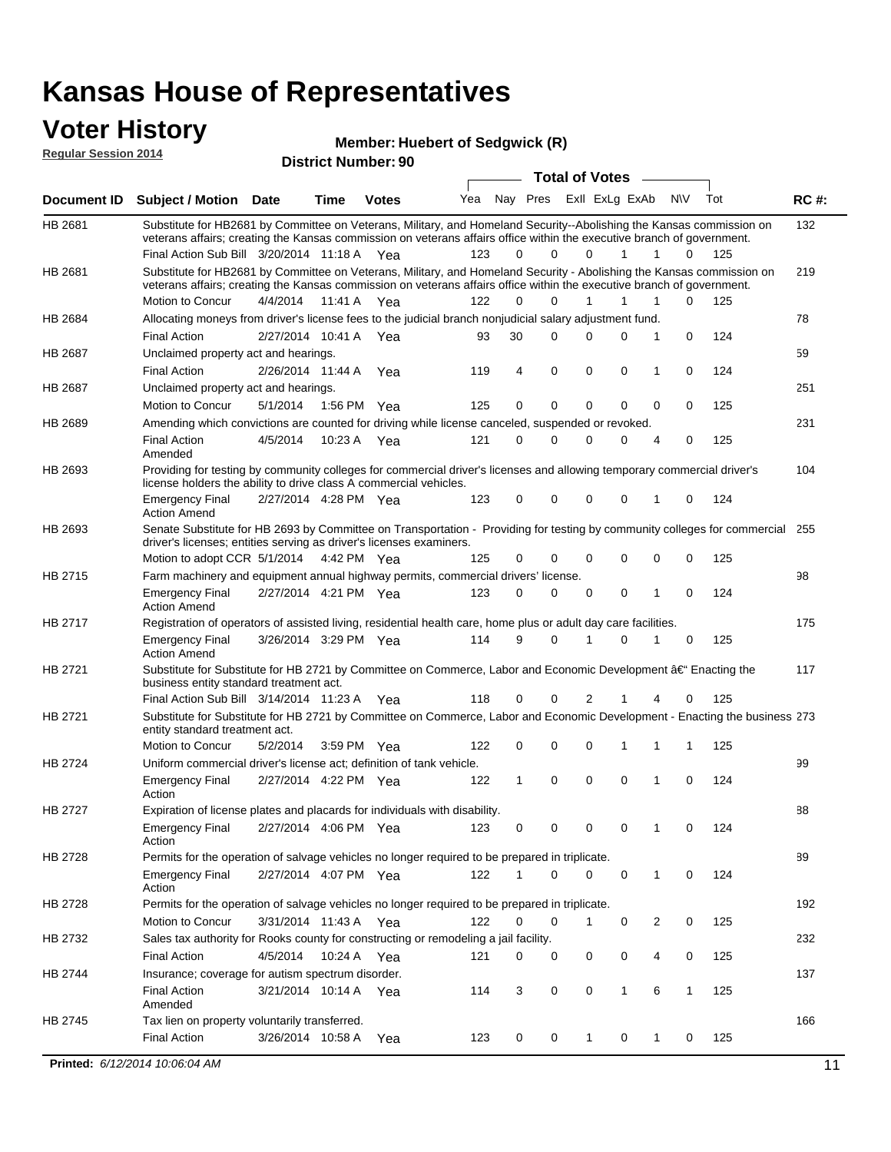### **Voter History Regular Session 2014**

#### **Member: Huebert of Sedgwick (R)**

| Regular Ocssion Zuin |                                                                                                                                                                                                                                                |                       |         | <b>District Number: 90</b> |     |    |             |  |                       |                |              |   |     |             |
|----------------------|------------------------------------------------------------------------------------------------------------------------------------------------------------------------------------------------------------------------------------------------|-----------------------|---------|----------------------------|-----|----|-------------|--|-----------------------|----------------|--------------|---|-----|-------------|
|                      |                                                                                                                                                                                                                                                |                       |         |                            |     |    |             |  | <b>Total of Votes</b> |                |              |   |     |             |
| <b>Document ID</b>   | Subject / Motion Date                                                                                                                                                                                                                          |                       | Time    | <b>Votes</b>               | Yea |    | Nay Pres    |  |                       | ExII ExLg ExAb | N\V          |   | Tot | <b>RC#:</b> |
| HB 2681              | Substitute for HB2681 by Committee on Veterans, Military, and Homeland Security--Abolishing the Kansas commission on<br>veterans affairs; creating the Kansas commission on veterans affairs office within the executive branch of government. |                       |         |                            |     |    |             |  |                       |                |              |   |     | 132         |
| HB 2681              | Final Action Sub Bill 3/20/2014 11:18 A Yea<br>Substitute for HB2681 by Committee on Veterans, Military, and Homeland Security - Abolishing the Kansas commission on                                                                           |                       |         |                            | 123 | 0  | $\Omega$    |  | $\Omega$              | 1              | 1            | 0 | 125 | 219         |
|                      | veterans affairs; creating the Kansas commission on veterans affairs office within the executive branch of government.<br>Motion to Concur                                                                                                     | 4/4/2014              | 11:41 A | Yea                        | 122 | 0  | 0           |  | 1                     | 1              | 1            | 0 | 125 |             |
| HB 2684              | Allocating moneys from driver's license fees to the judicial branch nonjudicial salary adjustment fund.                                                                                                                                        |                       |         |                            |     |    |             |  |                       |                |              |   |     | 78          |
|                      | <b>Final Action</b>                                                                                                                                                                                                                            | 2/27/2014 10:41 A Yea |         |                            | 93  | 30 | $\Omega$    |  | 0                     | 0              | 1            | 0 | 124 |             |
| <b>HB 2687</b>       | Unclaimed property act and hearings.                                                                                                                                                                                                           |                       |         |                            |     |    |             |  |                       |                |              |   |     | 59          |
|                      | <b>Final Action</b>                                                                                                                                                                                                                            | 2/26/2014 11:44 A     |         | Yea                        | 119 | 4  | $\mathbf 0$ |  | $\mathbf 0$           | 0              | 1            | 0 | 124 |             |
| HB 2687              | Unclaimed property act and hearings.                                                                                                                                                                                                           |                       |         |                            |     |    |             |  |                       |                |              |   |     | 251         |
|                      | Motion to Concur                                                                                                                                                                                                                               | 5/1/2014              | 1:56 PM | Yea                        | 125 | 0  | $\mathbf 0$ |  | $\mathbf 0$           | 0              | 0            | 0 | 125 |             |
| HB 2689              | Amending which convictions are counted for driving while license canceled, suspended or revoked.                                                                                                                                               |                       |         |                            |     |    |             |  |                       |                |              |   |     | 231         |
|                      | <b>Final Action</b><br>Amended                                                                                                                                                                                                                 | 4/5/2014              | 10:23A  | Yea                        | 121 | 0  | 0           |  | $\Omega$              | 0              | 4            | 0 | 125 |             |
| HB 2693              | Providing for testing by community colleges for commercial driver's licenses and allowing temporary commercial driver's<br>license holders the ability to drive class A commercial vehicles.                                                   |                       |         |                            |     |    |             |  |                       |                |              |   |     | 104         |
|                      | <b>Emergency Final</b><br><b>Action Amend</b>                                                                                                                                                                                                  | 2/27/2014 4:28 PM Yea |         |                            | 123 | 0  | 0           |  | $\Omega$              | $\Omega$       | 1            | 0 | 124 |             |
| HB 2693              | Senate Substitute for HB 2693 by Committee on Transportation - Providing for testing by community colleges for commercial 255<br>driver's licenses; entities serving as driver's licenses examiners.                                           |                       |         |                            |     |    |             |  |                       |                |              |   |     |             |
|                      | Motion to adopt CCR 5/1/2014                                                                                                                                                                                                                   |                       |         | 4:42 PM Yea                | 125 | 0  | 0           |  | 0                     | $\Omega$       | 0            | 0 | 125 |             |
| HB 2715              | Farm machinery and equipment annual highway permits, commercial drivers' license.                                                                                                                                                              |                       |         |                            |     |    |             |  |                       |                |              |   |     | 98          |
|                      | <b>Emergency Final</b><br><b>Action Amend</b>                                                                                                                                                                                                  | 2/27/2014 4:21 PM Yea |         |                            | 123 | 0  | 0           |  | 0                     | 0              | 1            | 0 | 124 |             |
| HB 2717              | Registration of operators of assisted living, residential health care, home plus or adult day care facilities.                                                                                                                                 |                       |         |                            |     |    |             |  |                       |                |              |   |     | 175         |
|                      | <b>Emergency Final</b><br><b>Action Amend</b>                                                                                                                                                                                                  | 3/26/2014 3:29 PM Yea |         |                            | 114 | 9  | $\Omega$    |  | 1                     | 0              | 1            | 0 | 125 |             |
| HB 2721              | Substitute for Substitute for HB 2721 by Committee on Commerce, Labor and Economic Development †Enacting the<br>business entity standard treatment act.                                                                                        |                       |         |                            |     |    |             |  |                       |                |              |   | 117 |             |
|                      | Final Action Sub Bill 3/14/2014 11:23 A Yea                                                                                                                                                                                                    |                       |         |                            | 118 | 0  | 0           |  | 2                     |                | 4            | 0 | 125 |             |
| HB 2721              | Substitute for Substitute for HB 2721 by Committee on Commerce, Labor and Economic Development - Enacting the business 273<br>entity standard treatment act.                                                                                   |                       |         |                            |     |    |             |  |                       |                |              |   |     |             |
|                      | Motion to Concur                                                                                                                                                                                                                               | 5/2/2014              |         | 3:59 PM Yea                | 122 | 0  | 0           |  | 0                     | 1              | 1            | 1 | 125 |             |
| HB 2724              | Uniform commercial driver's license act; definition of tank vehicle.                                                                                                                                                                           |                       |         |                            |     |    |             |  |                       |                |              |   |     | 99          |
|                      | <b>Emergency Final</b><br>Action                                                                                                                                                                                                               | 2/27/2014 4:22 PM Yea |         |                            | 122 | 1  | 0           |  | 0                     | $\Omega$       | 1            | 0 | 124 |             |
| HB 2727              | Expiration of license plates and placards for individuals with disability.                                                                                                                                                                     |                       |         |                            |     |    |             |  |                       |                |              |   |     | 88          |
|                      | <b>Emergency Final</b><br>Action                                                                                                                                                                                                               | 2/27/2014 4:06 PM Yea |         |                            | 123 | 0  | 0           |  | 0                     | 0              | 1            | 0 | 124 |             |
| HB 2728              | Permits for the operation of salvage vehicles no longer required to be prepared in triplicate.                                                                                                                                                 |                       |         |                            |     |    |             |  |                       |                |              |   |     | 89          |
|                      | <b>Emergency Final</b><br>Action                                                                                                                                                                                                               | 2/27/2014 4:07 PM Yea |         |                            | 122 | 1  | 0           |  | 0                     | 0              | $\mathbf{1}$ | 0 | 124 |             |
| HB 2728              | Permits for the operation of salvage vehicles no longer required to be prepared in triplicate.                                                                                                                                                 |                       |         |                            |     |    |             |  |                       |                |              |   |     | 192         |
|                      | Motion to Concur                                                                                                                                                                                                                               | 3/31/2014 11:43 A Yea |         |                            | 122 | 0  | 0           |  | 1                     | 0              | 2            | 0 | 125 |             |
| HB 2732              | Sales tax authority for Rooks county for constructing or remodeling a jail facility.                                                                                                                                                           |                       |         |                            |     |    |             |  |                       |                |              |   |     | 232         |
|                      | <b>Final Action</b>                                                                                                                                                                                                                            | 4/5/2014              |         | 10:24 A Yea                | 121 | 0  | 0           |  | 0                     | 0              | 4            | 0 | 125 |             |
| HB 2744              | Insurance; coverage for autism spectrum disorder.                                                                                                                                                                                              |                       |         |                            |     |    |             |  |                       |                |              |   |     | 137         |
|                      | <b>Final Action</b><br>Amended                                                                                                                                                                                                                 | 3/21/2014 10:14 A Yea |         |                            | 114 | 3  | 0           |  | 0                     | $\mathbf{1}$   | 6            | 1 | 125 |             |
| HB 2745              | Tax lien on property voluntarily transferred.                                                                                                                                                                                                  |                       |         |                            |     |    |             |  |                       |                |              |   |     | 166         |
|                      | <b>Final Action</b>                                                                                                                                                                                                                            | 3/26/2014 10:58 A     |         | Yea                        | 123 | 0  | 0           |  | 1                     | 0              | 1            | 0 | 125 |             |

**Printed:**  $6/12/2014$  10:06:04 AM 11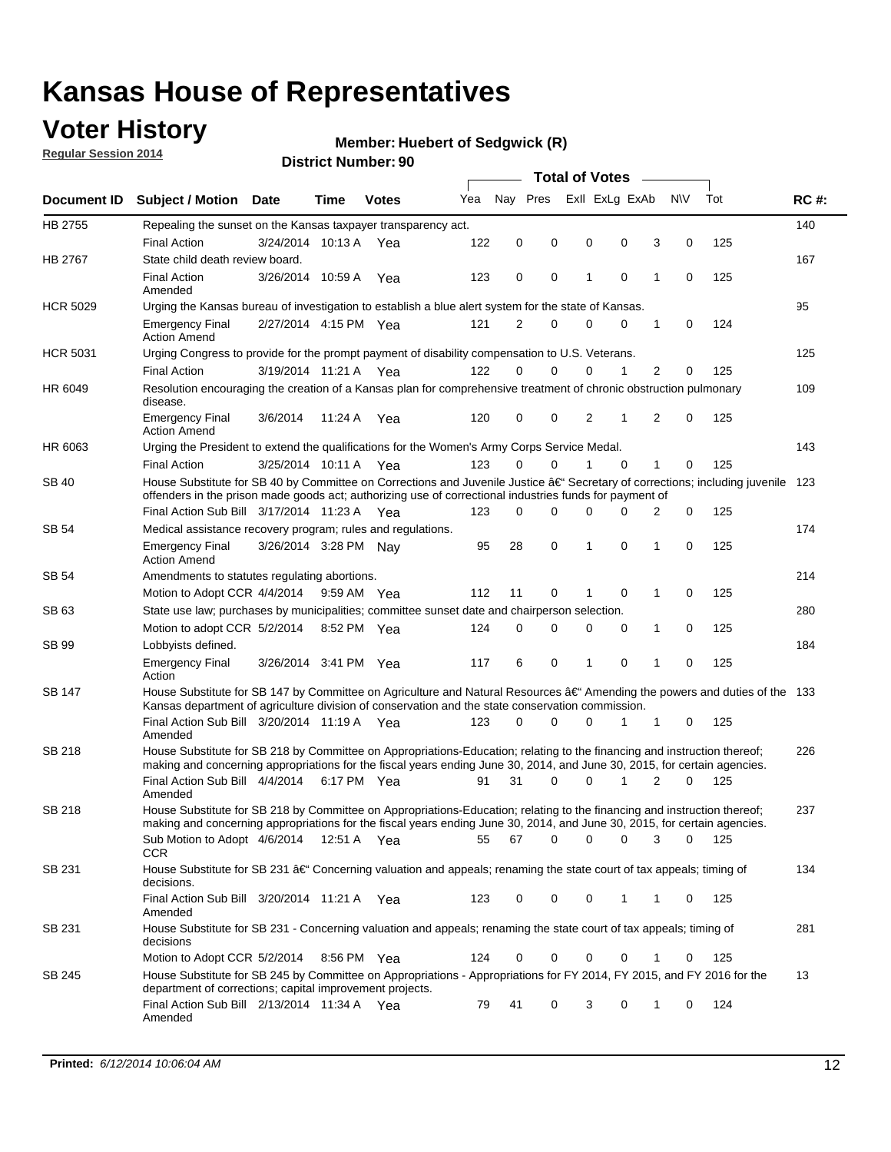## **Voter History**

**Regular Session 2014**

#### **Member: Huebert of Sedgwick (R)**

|                    |                                                                                                                                                                                                                                      |                       |             |              |     | <b>Total of Votes</b> |          |                |          |   |             |     |             |
|--------------------|--------------------------------------------------------------------------------------------------------------------------------------------------------------------------------------------------------------------------------------|-----------------------|-------------|--------------|-----|-----------------------|----------|----------------|----------|---|-------------|-----|-------------|
| <b>Document ID</b> | <b>Subject / Motion Date</b>                                                                                                                                                                                                         |                       | Time        | <b>Votes</b> | Yea | Nay Pres              |          | Exll ExLg ExAb |          |   | <b>NV</b>   | Tot | <b>RC#:</b> |
| HB 2755            | Repealing the sunset on the Kansas taxpayer transparency act.                                                                                                                                                                        |                       |             |              |     |                       |          |                |          |   |             |     | 140         |
|                    | <b>Final Action</b>                                                                                                                                                                                                                  | 3/24/2014 10:13 A     |             | Yea          | 122 | 0                     | 0        | 0              | 0        | 3 | 0           | 125 |             |
| HB 2767            | State child death review board.                                                                                                                                                                                                      |                       |             |              |     |                       |          |                |          |   |             |     | 167         |
|                    | <b>Final Action</b><br>Amended                                                                                                                                                                                                       | 3/26/2014 10:59 A     |             | Yea          | 123 | $\mathbf 0$           | 0        | 1              | 0        | 1 | $\mathbf 0$ | 125 |             |
| <b>HCR 5029</b>    | Urging the Kansas bureau of investigation to establish a blue alert system for the state of Kansas.                                                                                                                                  |                       |             |              |     |                       |          |                |          |   |             |     | 95          |
|                    | <b>Emergency Final</b><br><b>Action Amend</b>                                                                                                                                                                                        | 2/27/2014 4:15 PM Yea |             |              | 121 | $\overline{2}$        | 0        | 0              | 0        | 1 | 0           | 124 |             |
| <b>HCR 5031</b>    | Urging Congress to provide for the prompt payment of disability compensation to U.S. Veterans.                                                                                                                                       |                       |             |              |     |                       |          |                |          |   |             |     | 125         |
|                    | <b>Final Action</b>                                                                                                                                                                                                                  | 3/19/2014 11:21 A Yea |             |              | 122 | $\Omega$              | 0        | $\Omega$       | 1        | 2 | $\mathbf 0$ | 125 |             |
| HR 6049            | Resolution encouraging the creation of a Kansas plan for comprehensive treatment of chronic obstruction pulmonary<br>disease.                                                                                                        |                       |             |              |     |                       |          |                |          |   |             |     | 109         |
|                    | <b>Emergency Final</b><br><b>Action Amend</b>                                                                                                                                                                                        | 3/6/2014              | 11:24 A     | Yea          | 120 | 0                     | 0        | 2              | 1        | 2 | 0           | 125 |             |
| HR 6063            | Urging the President to extend the qualifications for the Women's Army Corps Service Medal.                                                                                                                                          |                       |             |              |     |                       |          |                |          |   |             |     | 143         |
|                    | <b>Final Action</b>                                                                                                                                                                                                                  | 3/25/2014 10:11 A Yea |             |              | 123 | $\Omega$              | $\Omega$ |                | $\Omega$ | 1 | 0           | 125 |             |
| <b>SB 40</b>       | House Substitute for SB 40 by Committee on Corrections and Juvenile Justice †Secretary of corrections; including juvenile<br>offenders in the prison made goods act; authorizing use of correctional industries funds for payment of |                       |             |              |     |                       |          |                |          |   |             |     | 123         |
|                    | Final Action Sub Bill 3/17/2014 11:23 A Yea                                                                                                                                                                                          |                       |             |              | 123 | 0                     | 0        | 0              | 0        | 2 | 0           | 125 |             |
| SB 54              | Medical assistance recovery program; rules and regulations.                                                                                                                                                                          |                       |             |              |     |                       |          |                |          |   |             |     | 174         |
|                    | <b>Emergency Final</b><br><b>Action Amend</b>                                                                                                                                                                                        | 3/26/2014 3:28 PM Nay |             |              | 95  | 28                    | 0        | 1              | 0        | 1 | $\mathbf 0$ | 125 |             |
| SB 54              | Amendments to statutes regulating abortions.                                                                                                                                                                                         |                       |             |              |     |                       |          |                |          |   |             |     | 214         |
|                    | Motion to Adopt CCR 4/4/2014                                                                                                                                                                                                         |                       | 9:59 AM Yea |              | 112 | 11                    | 0        | 1              | 0        | 1 | 0           | 125 |             |
| SB 63              | State use law; purchases by municipalities; committee sunset date and chairperson selection.                                                                                                                                         |                       |             |              |     |                       |          |                |          |   |             |     | 280         |
|                    | Motion to adopt CCR 5/2/2014                                                                                                                                                                                                         |                       | 8:52 PM Yea |              | 124 | $\mathbf 0$           | 0        | 0              | 0        | 1 | 0           | 125 |             |
| <b>SB 99</b>       | Lobbyists defined.                                                                                                                                                                                                                   |                       |             |              |     |                       |          |                |          |   |             |     | 184         |
|                    | <b>Emergency Final</b><br>Action                                                                                                                                                                                                     | 3/26/2014 3:41 PM Yea |             |              | 117 | 6                     | 0        | 1              | 0        | 1 | 0           | 125 |             |
| SB 147             | House Substitute for SB 147 by Committee on Agriculture and Natural Resources †Amending the powers and duties of the 133<br>Kansas department of agriculture division of conservation and the state conservation commission.         |                       |             |              |     |                       |          |                |          |   |             |     |             |
|                    | Final Action Sub Bill 3/20/2014 11:19 A Yea<br>Amended                                                                                                                                                                               |                       |             |              | 123 | $\Omega$              | 0        | 0              | 1        | 1 | 0           | 125 |             |
| SB 218             | House Substitute for SB 218 by Committee on Appropriations-Education; relating to the financing and instruction thereof;                                                                                                             |                       |             |              |     |                       |          |                |          |   |             |     | 226         |
|                    | making and concerning appropriations for the fiscal years ending June 30, 2014, and June 30, 2015, for certain agencies.<br>Final Action Sub Bill 4/4/2014 6:17 PM Yea                                                               |                       |             |              | 91  | 31                    | 0        | 0              | 1        | 2 | $\Omega$    | 125 |             |
|                    | Amended                                                                                                                                                                                                                              |                       |             |              |     |                       |          |                |          |   |             |     |             |
| SB 218             | House Substitute for SB 218 by Committee on Appropriations-Education; relating to the financing and instruction thereof;                                                                                                             |                       |             |              |     |                       |          |                |          |   |             |     | 237         |
|                    | making and concerning appropriations for the fiscal years ending June 30, 2014, and June 30, 2015, for certain agencies.                                                                                                             |                       |             |              |     |                       |          |                |          |   |             |     |             |
|                    | Sub Motion to Adopt 4/6/2014 12:51 A Yea                                                                                                                                                                                             |                       |             |              | 55  | 67                    | 0        | 0              | 0        | 3 | 0           | 125 |             |
| SB 231             | <b>CCR</b><br>House Substitute for SB 231 †Concerning valuation and appeals; renaming the state court of tax appeals; timing of<br>decisions.                                                                                        |                       |             |              |     |                       |          |                |          |   |             |     | 134         |
|                    | Final Action Sub Bill 3/20/2014 11:21 A Yea                                                                                                                                                                                          |                       |             |              | 123 | 0                     | 0        | 0              | 1        | 1 | 0           | 125 |             |
| SB 231             | Amended<br>House Substitute for SB 231 - Concerning valuation and appeals; renaming the state court of tax appeals; timing of<br>decisions                                                                                           |                       |             |              |     |                       |          |                |          |   |             |     | 281         |
|                    | Motion to Adopt CCR 5/2/2014                                                                                                                                                                                                         |                       | 8:56 PM Yea |              | 124 | 0                     | 0        | 0              | 0        | 1 | 0           | 125 |             |
| SB 245             | House Substitute for SB 245 by Committee on Appropriations - Appropriations for FY 2014, FY 2015, and FY 2016 for the                                                                                                                |                       |             |              |     |                       |          |                |          |   |             |     | 13          |
|                    | department of corrections; capital improvement projects.<br>Final Action Sub Bill 2/13/2014 11:34 A Yea                                                                                                                              |                       |             |              | 79  | 41                    | 0        | 3              | 0        | 1 | 0           | 124 |             |
|                    | Amended                                                                                                                                                                                                                              |                       |             |              |     |                       |          |                |          |   |             |     |             |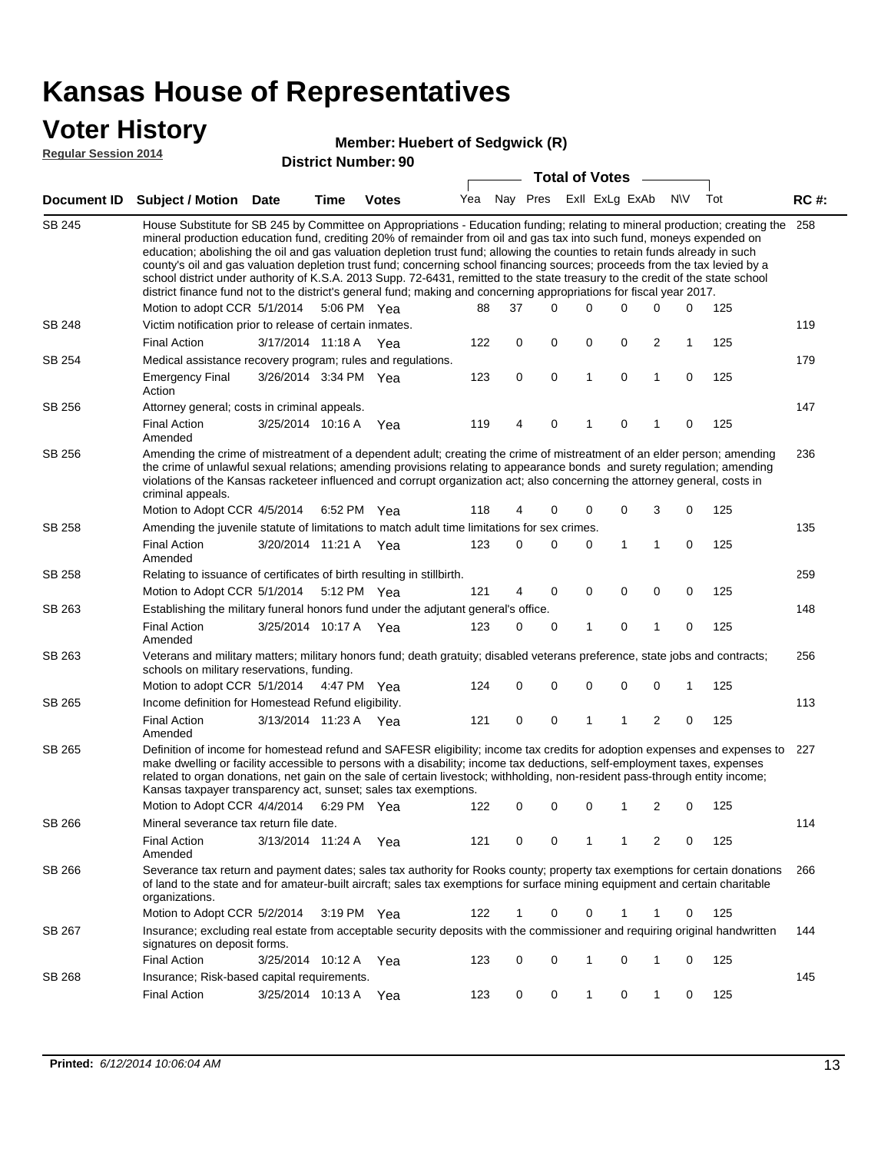### **Voter History**

#### **Member: Huebert of Sedawick (R)**

**Regular Session 2014**

| <b>District Number: 90</b> |         |  |
|----------------------------|---------|--|
|                            | ہ Total |  |

|                    |                                                                                                                                                                                                                                                                                                                                                                                                                                                                                                                                                                                                                                                                                                                                                                                                               |                       |      |              |     |          | <b>Total of Votes</b> |                |              |          |             |     |             |
|--------------------|---------------------------------------------------------------------------------------------------------------------------------------------------------------------------------------------------------------------------------------------------------------------------------------------------------------------------------------------------------------------------------------------------------------------------------------------------------------------------------------------------------------------------------------------------------------------------------------------------------------------------------------------------------------------------------------------------------------------------------------------------------------------------------------------------------------|-----------------------|------|--------------|-----|----------|-----------------------|----------------|--------------|----------|-------------|-----|-------------|
| <b>Document ID</b> | <b>Subject / Motion Date</b>                                                                                                                                                                                                                                                                                                                                                                                                                                                                                                                                                                                                                                                                                                                                                                                  |                       | Time | <b>Votes</b> | Yea | Nay Pres |                       | Exll ExLg ExAb |              |          | <b>NV</b>   | Tot | <b>RC#:</b> |
| <b>SB 245</b>      | House Substitute for SB 245 by Committee on Appropriations - Education funding; relating to mineral production; creating the<br>mineral production education fund, crediting 20% of remainder from oil and gas tax into such fund, moneys expended on<br>education; abolishing the oil and gas valuation depletion trust fund; allowing the counties to retain funds already in such<br>county's oil and gas valuation depletion trust fund; concerning school financing sources; proceeds from the tax levied by a<br>school district under authority of K.S.A. 2013 Supp. 72-6431, remitted to the state treasury to the credit of the state school<br>district finance fund not to the district's general fund; making and concerning appropriations for fiscal year 2017.<br>Motion to adopt CCR 5/1/2014 |                       |      | 5:06 PM Yea  | 88  | 37       | $\Omega$              | 0              | $\Omega$     | $\Omega$ | 0           | 125 | 258         |
| SB 248             | Victim notification prior to release of certain inmates.                                                                                                                                                                                                                                                                                                                                                                                                                                                                                                                                                                                                                                                                                                                                                      |                       |      |              |     |          |                       |                |              |          |             |     | 119         |
|                    | <b>Final Action</b>                                                                                                                                                                                                                                                                                                                                                                                                                                                                                                                                                                                                                                                                                                                                                                                           | 3/17/2014 11:18 A     |      | Yea          | 122 | 0        | 0                     | 0              | 0            | 2        | 1           | 125 |             |
| SB 254             | Medical assistance recovery program; rules and regulations.                                                                                                                                                                                                                                                                                                                                                                                                                                                                                                                                                                                                                                                                                                                                                   |                       |      |              |     |          |                       |                |              |          |             |     | 179         |
|                    | <b>Emergency Final</b><br>Action                                                                                                                                                                                                                                                                                                                                                                                                                                                                                                                                                                                                                                                                                                                                                                              | 3/26/2014 3:34 PM Yea |      |              | 123 | 0        | $\mathbf 0$           | $\mathbf{1}$   | $\mathbf 0$  | 1        | 0           | 125 |             |
| SB 256             | Attorney general; costs in criminal appeals.                                                                                                                                                                                                                                                                                                                                                                                                                                                                                                                                                                                                                                                                                                                                                                  |                       |      |              |     |          |                       |                |              |          |             |     | 147         |
|                    | <b>Final Action</b><br>Amended                                                                                                                                                                                                                                                                                                                                                                                                                                                                                                                                                                                                                                                                                                                                                                                | 3/25/2014 10:16 A     |      | Yea          | 119 | 4        | 0                     | 1              | 0            | 1        | $\mathbf 0$ | 125 |             |
| SB 256             | Amending the crime of mistreatment of a dependent adult; creating the crime of mistreatment of an elder person; amending<br>the crime of unlawful sexual relations; amending provisions relating to appearance bonds and surety regulation; amending<br>violations of the Kansas racketeer influenced and corrupt organization act; also concerning the attorney general, costs in<br>criminal appeals.                                                                                                                                                                                                                                                                                                                                                                                                       |                       |      |              |     |          |                       |                |              |          |             |     | 236         |
|                    | Motion to Adopt CCR 4/5/2014                                                                                                                                                                                                                                                                                                                                                                                                                                                                                                                                                                                                                                                                                                                                                                                  |                       |      | 6:52 PM Yea  | 118 | 4        | 0                     | 0              | 0            | 3        | 0           | 125 |             |
| SB 258             | Amending the juvenile statute of limitations to match adult time limitations for sex crimes.<br><b>Final Action</b>                                                                                                                                                                                                                                                                                                                                                                                                                                                                                                                                                                                                                                                                                           | 3/20/2014 11:21 A Yea |      |              | 123 | 0        | 0                     | 0              | $\mathbf{1}$ | 1        | $\mathbf 0$ | 125 | 135         |
|                    | Amended                                                                                                                                                                                                                                                                                                                                                                                                                                                                                                                                                                                                                                                                                                                                                                                                       |                       |      |              |     |          |                       |                |              |          |             |     |             |
| SB 258             | Relating to issuance of certificates of birth resulting in stillbirth.                                                                                                                                                                                                                                                                                                                                                                                                                                                                                                                                                                                                                                                                                                                                        |                       |      |              |     |          |                       |                |              |          |             |     | 259         |
|                    | Motion to Adopt CCR 5/1/2014                                                                                                                                                                                                                                                                                                                                                                                                                                                                                                                                                                                                                                                                                                                                                                                  |                       |      | 5:12 PM Yea  | 121 | 4        | $\mathbf 0$           | $\mathbf 0$    | $\mathbf 0$  | 0        | $\mathbf 0$ | 125 |             |
| SB 263             | Establishing the military funeral honors fund under the adjutant general's office.                                                                                                                                                                                                                                                                                                                                                                                                                                                                                                                                                                                                                                                                                                                            |                       |      |              |     |          |                       |                |              |          |             |     | 148         |
|                    | <b>Final Action</b><br>Amended                                                                                                                                                                                                                                                                                                                                                                                                                                                                                                                                                                                                                                                                                                                                                                                | 3/25/2014 10:17 A Yea |      |              | 123 | 0        | 0                     | 1              | $\mathbf 0$  | 1        | $\mathbf 0$ | 125 |             |
| SB 263             | Veterans and military matters; military honors fund; death gratuity; disabled veterans preference, state jobs and contracts;<br>schools on military reservations, funding.<br>Motion to adopt CCR 5/1/2014 4:47 PM Yea                                                                                                                                                                                                                                                                                                                                                                                                                                                                                                                                                                                        |                       |      |              | 124 | 0        | $\mathbf 0$           | 0              | $\mathbf 0$  | 0        | 1           | 125 | 256         |
| SB 265             | Income definition for Homestead Refund eligibility.                                                                                                                                                                                                                                                                                                                                                                                                                                                                                                                                                                                                                                                                                                                                                           |                       |      |              |     |          |                       |                |              |          |             |     | 113         |
|                    | <b>Final Action</b>                                                                                                                                                                                                                                                                                                                                                                                                                                                                                                                                                                                                                                                                                                                                                                                           | 3/13/2014 11:23 A Yea |      |              | 121 | 0        | $\mathbf 0$           | 1              | $\mathbf{1}$ | 2        | 0           | 125 |             |
|                    | Amended                                                                                                                                                                                                                                                                                                                                                                                                                                                                                                                                                                                                                                                                                                                                                                                                       |                       |      |              |     |          |                       |                |              |          |             |     |             |
| SB 265             | Definition of income for homestead refund and SAFESR eligibility; income tax credits for adoption expenses and expenses to<br>make dwelling or facility accessible to persons with a disability; income tax deductions, self-employment taxes, expenses<br>related to organ donations, net gain on the sale of certain livestock; withholding, non-resident pass-through entity income;<br>Kansas taxpayer transparency act, sunset; sales tax exemptions.                                                                                                                                                                                                                                                                                                                                                    |                       |      |              |     |          |                       |                |              |          |             |     | 227         |
|                    | Motion to Adopt CCR 4/4/2014 6:29 PM Yea                                                                                                                                                                                                                                                                                                                                                                                                                                                                                                                                                                                                                                                                                                                                                                      |                       |      |              | 122 | 0        | 0                     | 0              | 1            | 2        | 0           | 125 |             |
| SB 266             | Mineral severance tax return file date.                                                                                                                                                                                                                                                                                                                                                                                                                                                                                                                                                                                                                                                                                                                                                                       |                       |      |              |     |          |                       |                |              |          |             |     | 114         |
|                    | <b>Final Action</b><br>Amended                                                                                                                                                                                                                                                                                                                                                                                                                                                                                                                                                                                                                                                                                                                                                                                | 3/13/2014 11:24 A     |      | Yea          | 121 | 0        | 0                     | 1              | 1            | 2        | 0           | 125 |             |
| SB 266             | Severance tax return and payment dates; sales tax authority for Rooks county; property tax exemptions for certain donations<br>of land to the state and for amateur-built aircraft; sales tax exemptions for surface mining equipment and certain charitable<br>organizations.                                                                                                                                                                                                                                                                                                                                                                                                                                                                                                                                |                       |      |              |     |          |                       |                |              |          |             |     | 266         |
|                    | Motion to Adopt CCR 5/2/2014                                                                                                                                                                                                                                                                                                                                                                                                                                                                                                                                                                                                                                                                                                                                                                                  |                       |      | 3:19 PM Yea  | 122 | 1        | 0                     | 0              | 1            | 1        | 0           | 125 |             |
| SB 267             | Insurance; excluding real estate from acceptable security deposits with the commissioner and requiring original handwritten<br>signatures on deposit forms.                                                                                                                                                                                                                                                                                                                                                                                                                                                                                                                                                                                                                                                   |                       |      |              |     |          |                       |                |              |          |             |     | 144         |
|                    | <b>Final Action</b>                                                                                                                                                                                                                                                                                                                                                                                                                                                                                                                                                                                                                                                                                                                                                                                           | 3/25/2014 10:12 A Yea |      |              | 123 | 0        | 0                     | 1              | 0            | 1        | 0           | 125 |             |
| SB 268             | Insurance; Risk-based capital requirements.                                                                                                                                                                                                                                                                                                                                                                                                                                                                                                                                                                                                                                                                                                                                                                   |                       |      |              |     |          |                       |                |              |          |             |     | 145         |
|                    | <b>Final Action</b>                                                                                                                                                                                                                                                                                                                                                                                                                                                                                                                                                                                                                                                                                                                                                                                           | 3/25/2014 10:13 A Yea |      |              | 123 | 0        | 0                     | 1              | 0            | 1        | 0           | 125 |             |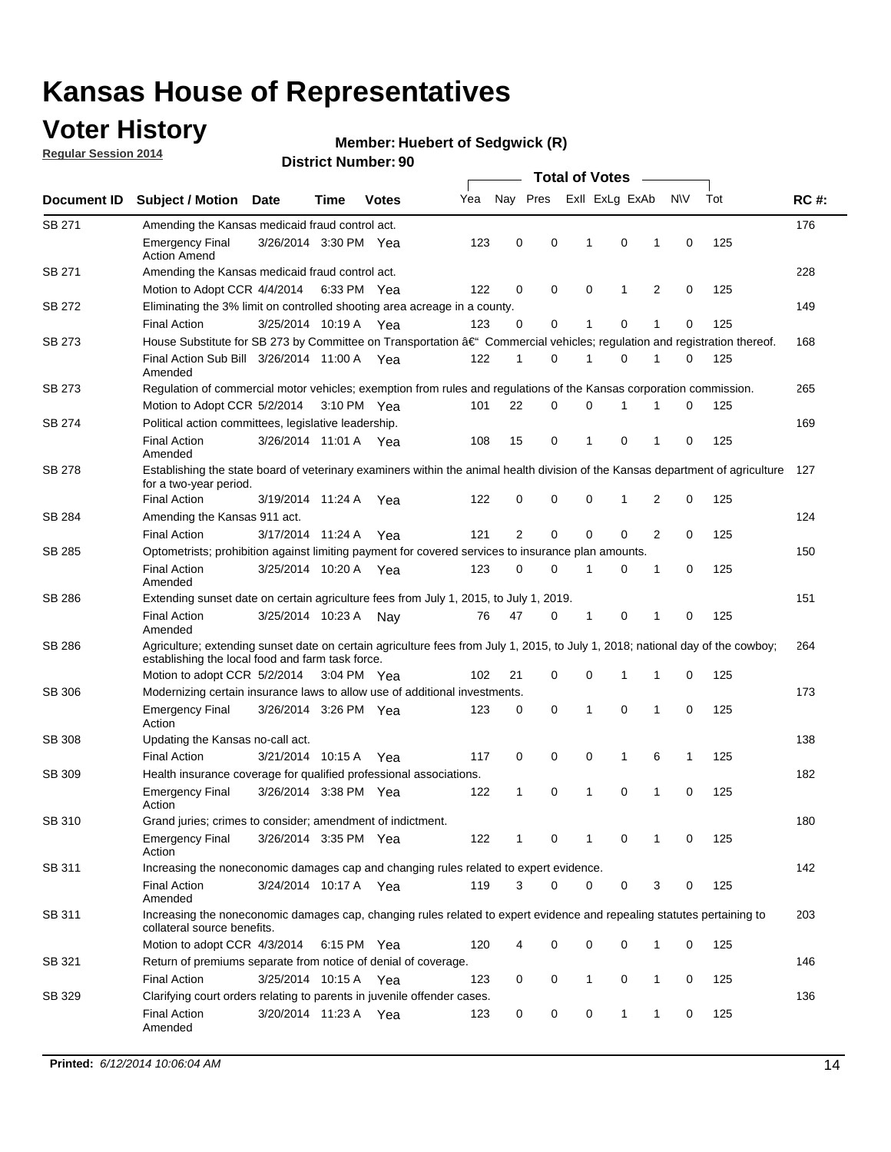## **Voter History**

**Regular Session 2014**

#### **Member: Huebert of Sedgwick (R)**

|               | <b>Total of Votes</b>                                                                                                                                                              |                       |      |              |     |                |          |              |                |   |             |     |             |
|---------------|------------------------------------------------------------------------------------------------------------------------------------------------------------------------------------|-----------------------|------|--------------|-----|----------------|----------|--------------|----------------|---|-------------|-----|-------------|
| Document ID   | <b>Subject / Motion</b>                                                                                                                                                            | Date                  | Time | <b>Votes</b> | Yea | Nay Pres       |          |              | Exll ExLg ExAb |   | <b>NV</b>   | Tot | <b>RC#:</b> |
| SB 271        | Amending the Kansas medicaid fraud control act.                                                                                                                                    |                       |      |              |     |                |          |              |                |   |             |     | 176         |
|               | <b>Emergency Final</b><br><b>Action Amend</b>                                                                                                                                      | 3/26/2014 3:30 PM Yea |      |              | 123 | 0              | 0        | 1            | 0              | 1 | $\mathbf 0$ | 125 |             |
| SB 271        | Amending the Kansas medicaid fraud control act.                                                                                                                                    |                       |      |              |     |                |          |              |                |   |             |     | 228         |
|               | Motion to Adopt CCR 4/4/2014 6:33 PM Yea                                                                                                                                           |                       |      |              | 122 | 0              | 0        | 0            | 1              | 2 | 0           | 125 |             |
| SB 272        | Eliminating the 3% limit on controlled shooting area acreage in a county.                                                                                                          |                       |      |              |     |                |          |              |                |   |             |     | 149         |
|               | <b>Final Action</b>                                                                                                                                                                | 3/25/2014 10:19 A Yea |      |              | 123 | 0              | 0        | 1            | 0              | 1 | $\mathbf 0$ | 125 |             |
| SB 273        | House Substitute for SB 273 by Committee on Transportation †Commercial vehicles; regulation and registration thereof.                                                              |                       |      |              |     |                |          |              |                |   |             |     | 168         |
|               | Final Action Sub Bill 3/26/2014 11:00 A Yea<br>Amended                                                                                                                             |                       |      |              | 122 | 1              | 0        | 1            | 0              | 1 | 0           | 125 |             |
| SB 273        | Regulation of commercial motor vehicles; exemption from rules and regulations of the Kansas corporation commission.                                                                |                       |      |              |     |                |          |              |                |   |             |     | 265         |
|               | Motion to Adopt CCR 5/2/2014 3:10 PM Yea                                                                                                                                           |                       |      |              | 101 | 22             | 0        | 0            | 1              | 1 | 0           | 125 |             |
| SB 274        | Political action committees, legislative leadership.                                                                                                                               |                       |      |              |     |                |          |              |                |   |             |     | 169         |
|               | <b>Final Action</b><br>Amended                                                                                                                                                     | 3/26/2014 11:01 A Yea |      |              | 108 | 15             | 0        | 1            | $\mathbf 0$    | 1 | $\mathbf 0$ | 125 |             |
| SB 278        | Establishing the state board of veterinary examiners within the animal health division of the Kansas department of agriculture<br>for a two-year period.                           |                       |      |              |     |                |          |              |                |   |             |     | 127         |
|               | <b>Final Action</b>                                                                                                                                                                | 3/19/2014 11:24 A     |      | Yea          | 122 | 0              | 0        | 0            | $\mathbf{1}$   | 2 | 0           | 125 |             |
| SB 284        | Amending the Kansas 911 act.                                                                                                                                                       |                       |      |              |     |                |          |              |                |   |             |     | 124         |
|               | <b>Final Action</b>                                                                                                                                                                | 3/17/2014 11:24 A     |      | Yea          | 121 | $\overline{2}$ | 0        | $\mathbf 0$  | $\mathbf 0$    | 2 | 0           | 125 |             |
| SB 285        | Optometrists; prohibition against limiting payment for covered services to insurance plan amounts.                                                                                 |                       |      |              |     |                |          |              |                |   |             |     | 150         |
|               | <b>Final Action</b><br>Amended                                                                                                                                                     | 3/25/2014 10:20 A     |      | Yea          | 123 | 0              | 0        | 1            | 0              | 1 | $\mathbf 0$ | 125 |             |
| SB 286        | Extending sunset date on certain agriculture fees from July 1, 2015, to July 1, 2019.                                                                                              |                       |      |              |     |                |          |              |                |   |             |     | 151         |
|               | <b>Final Action</b><br>Amended                                                                                                                                                     | 3/25/2014 10:23 A     |      | Nav          | 76  | 47             | 0        | 1            | 0              | 1 | $\mathbf 0$ | 125 |             |
| SB 286        | Agriculture; extending sunset date on certain agriculture fees from July 1, 2015, to July 1, 2018; national day of the cowboy;<br>establishing the local food and farm task force. |                       |      |              |     |                |          |              |                |   |             |     | 264         |
|               | Motion to adopt CCR 5/2/2014 3:04 PM Yea                                                                                                                                           |                       |      |              | 102 | 21             | 0        | $\mathbf 0$  | 1              | 1 | 0           | 125 |             |
| SB 306        | Modernizing certain insurance laws to allow use of additional investments.                                                                                                         |                       |      |              |     |                |          |              |                |   |             |     | 173         |
|               | <b>Emergency Final</b><br>Action                                                                                                                                                   | 3/26/2014 3:26 PM Yea |      |              | 123 | 0              | 0        | 1            | 0              | 1 | $\mathbf 0$ | 125 |             |
| <b>SB 308</b> | Updating the Kansas no-call act.                                                                                                                                                   |                       |      |              |     |                |          |              |                |   |             |     | 138         |
|               | <b>Final Action</b>                                                                                                                                                                | 3/21/2014 10:15 A     |      | Yea          | 117 | 0              | 0        | 0            | $\mathbf{1}$   | 6 | 1           | 125 |             |
| SB 309        | Health insurance coverage for qualified professional associations.                                                                                                                 |                       |      |              |     |                |          |              |                |   |             |     | 182         |
|               | <b>Emergency Final</b><br>Action                                                                                                                                                   | 3/26/2014 3:38 PM Yea |      |              | 122 | 1              | 0        | 1            | 0              | 1 | $\mathbf 0$ | 125 |             |
| SB 310        | Grand juries; crimes to consider; amendment of indictment.                                                                                                                         |                       |      |              |     |                |          |              |                |   |             |     | 180         |
|               | <b>Emergency Final</b><br>Action                                                                                                                                                   | 3/26/2014 3:35 PM Yea |      |              | 122 | 1              | 0        | 1            | 0              | 1 | 0           | 125 |             |
| SB 311        | Increasing the noneconomic damages cap and changing rules related to expert evidence.                                                                                              |                       |      |              |     |                |          |              |                |   |             |     | 142         |
|               | <b>Final Action</b><br>Amended                                                                                                                                                     | 3/24/2014 10:17 A Yea |      |              | 119 | 3              | $\Omega$ | 0            | 0              | 3 | 0           | 125 |             |
| SB 311        | Increasing the noneconomic damages cap, changing rules related to expert evidence and repealing statutes pertaining to<br>collateral source benefits.                              |                       |      |              |     |                |          |              |                |   |             |     | 203         |
|               | Motion to adopt CCR 4/3/2014 6:15 PM Yea                                                                                                                                           |                       |      |              | 120 |                | 0        | 0            | 0              | 1 | 0           | 125 |             |
| SB 321        | Return of premiums separate from notice of denial of coverage.                                                                                                                     |                       |      |              |     |                |          |              |                |   |             |     | 146         |
|               | <b>Final Action</b>                                                                                                                                                                | 3/25/2014 10:15 A Yea |      |              | 123 | 0              | 0        | $\mathbf{1}$ | 0              | 1 | 0           | 125 |             |
| SB 329        | Clarifying court orders relating to parents in juvenile offender cases.<br><b>Final Action</b><br>Amended                                                                          | 3/20/2014 11:23 A Yea |      |              | 123 | 0              | 0        | 0            | $\mathbf{1}$   | 1 | 0           | 125 | 136         |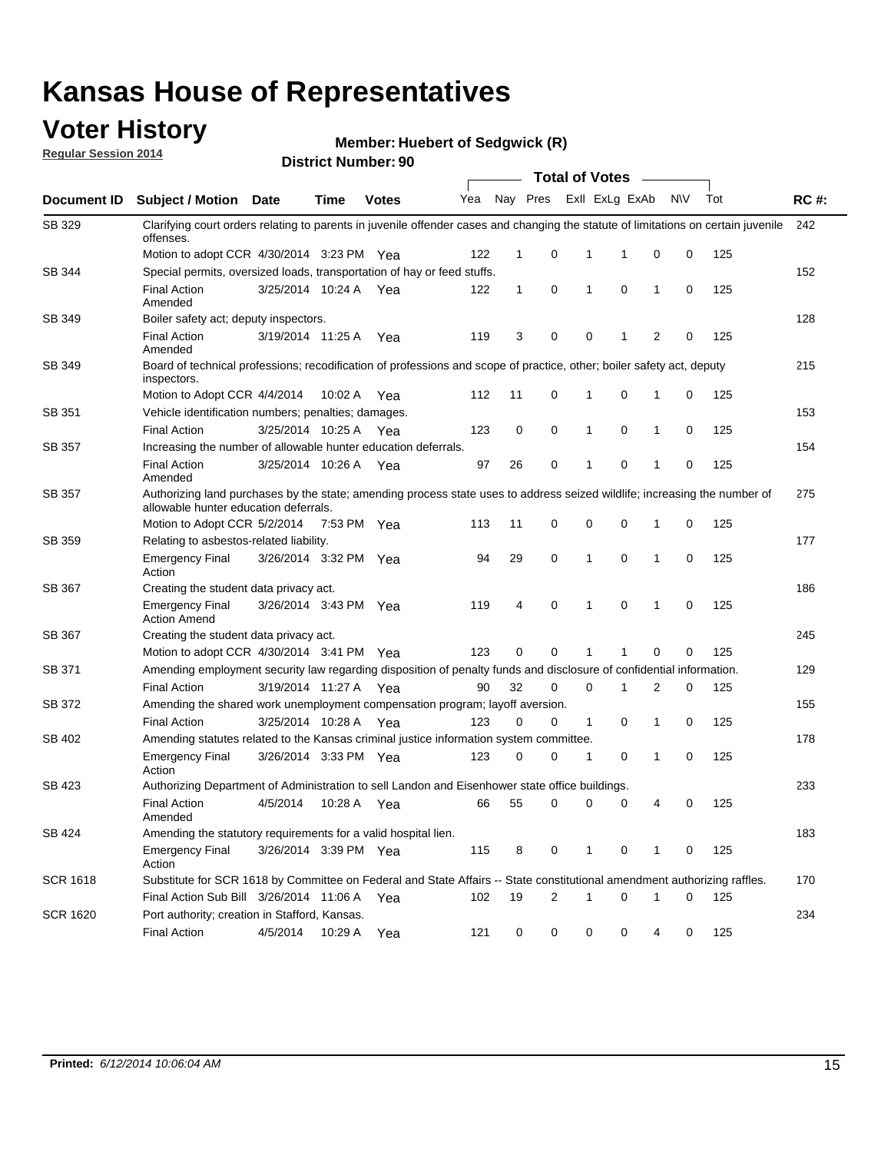## **Voter History**

**Regular Session 2014**

**Member: Huebert of Sedgwick (R)** 

|                 |                                                                                                                                                                    |                       |             |              |     |              |             |              | <b>Total of Votes</b> |   |           |     |             |
|-----------------|--------------------------------------------------------------------------------------------------------------------------------------------------------------------|-----------------------|-------------|--------------|-----|--------------|-------------|--------------|-----------------------|---|-----------|-----|-------------|
| Document ID     | <b>Subject / Motion</b>                                                                                                                                            | Date                  | Time        | <b>Votes</b> | Yea |              | Nay Pres    |              | Exll ExLg ExAb        |   | <b>NV</b> | Tot | <b>RC#:</b> |
| SB 329          | Clarifying court orders relating to parents in juvenile offender cases and changing the statute of limitations on certain juvenile<br>offenses.                    |                       |             |              |     |              |             |              |                       |   |           |     | 242         |
|                 | Motion to adopt CCR 4/30/2014 3:23 PM Yea                                                                                                                          |                       |             |              | 122 | 1            | 0           | 1            | -1                    | 0 | 0         | 125 |             |
| SB 344          | Special permits, oversized loads, transportation of hay or feed stuffs.                                                                                            |                       |             |              |     |              |             |              |                       |   |           |     | 152         |
|                 | <b>Final Action</b><br>Amended                                                                                                                                     | 3/25/2014 10:24 A     |             | Yea          | 122 | $\mathbf{1}$ | 0           | 1            | 0                     | 1 | 0         | 125 |             |
| SB 349          | Boiler safety act; deputy inspectors.                                                                                                                              |                       |             |              |     |              |             |              |                       |   |           |     | 128         |
|                 | <b>Final Action</b><br>Amended                                                                                                                                     | 3/19/2014 11:25 A     |             | Yea          | 119 | 3            | 0           | $\mathbf 0$  | -1                    | 2 | 0         | 125 |             |
| SB 349          | Board of technical professions; recodification of professions and scope of practice, other; boiler safety act, deputy<br>inspectors.                               |                       |             |              |     |              |             |              |                       |   |           |     | 215         |
|                 | Motion to Adopt CCR 4/4/2014                                                                                                                                       |                       | 10:02 A     | Yea          | 112 | 11           | 0           | 1            | $\mathbf 0$           | 1 | 0         | 125 |             |
| SB 351          | Vehicle identification numbers; penalties; damages.                                                                                                                |                       |             |              |     |              |             |              |                       |   |           |     | 153         |
|                 | <b>Final Action</b>                                                                                                                                                | 3/25/2014 10:25 A     |             | Yea          | 123 | 0            | 0           | $\mathbf{1}$ | 0                     | 1 | 0         | 125 |             |
| SB 357          | Increasing the number of allowable hunter education deferrals.                                                                                                     |                       |             |              |     |              |             |              |                       |   |           |     | 154         |
|                 | <b>Final Action</b><br>Amended                                                                                                                                     | 3/25/2014 10:26 A     |             | Yea          | 97  | 26           | 0           | 1            | 0                     | 1 | 0         | 125 |             |
| SB 357          | Authorizing land purchases by the state; amending process state uses to address seized wildlife; increasing the number of<br>allowable hunter education deferrals. |                       |             |              |     |              |             |              |                       |   |           |     | 275         |
|                 | Motion to Adopt CCR 5/2/2014                                                                                                                                       |                       | 7:53 PM Yea |              | 113 | 11           | 0           | 0            | $\mathbf 0$           | 1 | 0         | 125 |             |
| SB 359          | Relating to asbestos-related liability.                                                                                                                            |                       |             |              |     |              |             |              |                       |   |           |     | 177         |
|                 | <b>Emergency Final</b><br>Action                                                                                                                                   | 3/26/2014 3:32 PM Yea |             |              | 94  | 29           | 0           | 1            | $\Omega$              | 1 | 0         | 125 |             |
| SB 367          | Creating the student data privacy act.                                                                                                                             |                       |             |              |     |              |             |              |                       |   |           |     | 186         |
|                 | <b>Emergency Final</b><br><b>Action Amend</b>                                                                                                                      | 3/26/2014 3:43 PM Yea |             |              | 119 | 4            | 0           | -1           | 0                     | 1 | 0         | 125 |             |
| SB 367          | Creating the student data privacy act.                                                                                                                             |                       |             |              |     |              |             |              |                       |   |           |     | 245         |
|                 | Motion to adopt CCR 4/30/2014 3:41 PM Yea                                                                                                                          |                       |             |              | 123 | 0            | 0           | 1            | 1                     | 0 | 0         | 125 |             |
| SB 371          | Amending employment security law regarding disposition of penalty funds and disclosure of confidential information.                                                |                       |             |              |     |              |             |              |                       |   |           |     | 129         |
|                 | <b>Final Action</b>                                                                                                                                                | 3/19/2014 11:27 A     |             | Yea          | 90  | 32           | 0           | 0            | -1                    | 2 | 0         | 125 |             |
| SB 372          | Amending the shared work unemployment compensation program; layoff aversion.                                                                                       |                       |             |              |     |              |             |              |                       |   |           |     | 155         |
|                 | <b>Final Action</b>                                                                                                                                                | 3/25/2014 10:28 A     |             | Yea          | 123 | 0            | 0           | $\mathbf{1}$ | 0                     | 1 | 0         | 125 |             |
| SB 402          | Amending statutes related to the Kansas criminal justice information system committee.                                                                             |                       |             |              |     |              |             |              |                       |   |           |     | 178         |
|                 | <b>Emergency Final</b><br>Action                                                                                                                                   | 3/26/2014 3:33 PM Yea |             |              | 123 | 0            | 0           | 1            | 0                     | 1 | 0         | 125 |             |
| SB 423          | Authorizing Department of Administration to sell Landon and Eisenhower state office buildings.                                                                     |                       |             |              |     |              |             |              |                       |   |           |     | 233         |
|                 | <b>Final Action</b><br>Amended                                                                                                                                     | 4/5/2014              | 10:28 A     | Yea          | 66  | 55           | 0           | 0            | 0                     | 4 | 0         | 125 |             |
| SB 424          | Amending the statutory requirements for a valid hospital lien.                                                                                                     |                       |             |              |     |              |             |              |                       |   |           |     | 183         |
|                 | <b>Emergency Final</b><br>Action                                                                                                                                   | 3/26/2014 3:39 PM Yea |             |              | 115 | 8            | 0           | 1            | 0                     | 1 | 0         | 125 |             |
| <b>SCR 1618</b> | Substitute for SCR 1618 by Committee on Federal and State Affairs -- State constitutional amendment authorizing raffles.                                           |                       |             |              |     |              |             |              |                       |   |           |     | 170         |
|                 | Final Action Sub Bill 3/26/2014 11:06 A                                                                                                                            |                       |             | Yea          | 102 | 19           | 2           | 1            | 0                     | 1 | 0         | 125 |             |
| <b>SCR 1620</b> | Port authority; creation in Stafford, Kansas.                                                                                                                      |                       |             |              |     |              |             |              |                       |   |           |     | 234         |
|                 | <b>Final Action</b>                                                                                                                                                | 4/5/2014              | 10:29 A     | Yea          | 121 | 0            | $\mathbf 0$ | 0            | 0                     | 4 | 0         | 125 |             |